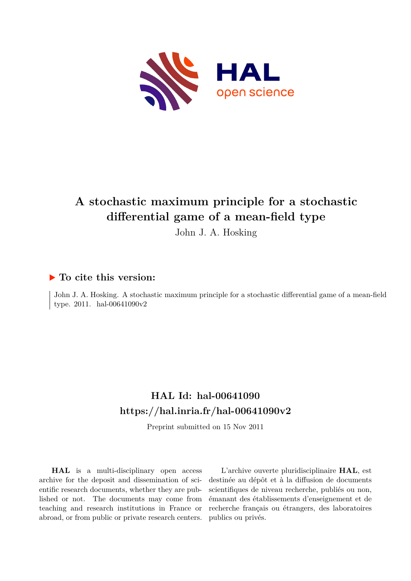

# **A stochastic maximum principle for a stochastic differential game of a mean-field type**

John J. A. Hosking

# **To cite this version:**

John J. A. Hosking. A stochastic maximum principle for a stochastic differential game of a mean-field type. 2011. hal-00641090v2

# **HAL Id: hal-00641090 <https://hal.inria.fr/hal-00641090v2>**

Preprint submitted on 15 Nov 2011

**HAL** is a multi-disciplinary open access archive for the deposit and dissemination of scientific research documents, whether they are published or not. The documents may come from teaching and research institutions in France or abroad, or from public or private research centers.

L'archive ouverte pluridisciplinaire **HAL**, est destinée au dépôt et à la diffusion de documents scientifiques de niveau recherche, publiés ou non, émanant des établissements d'enseignement et de recherche français ou étrangers, des laboratoires publics ou privés.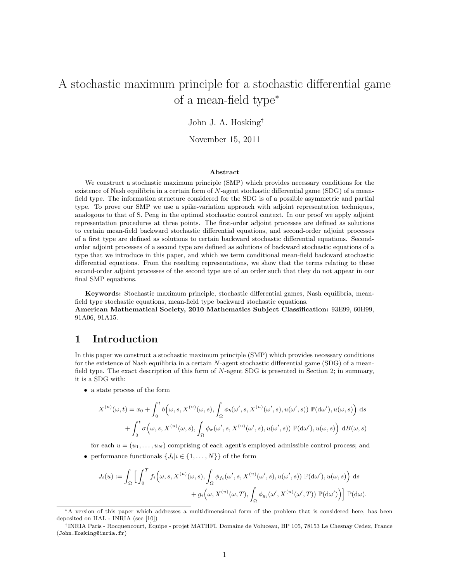# A stochastic maximum principle for a stochastic differential game of a mean-field type<sup>∗</sup>

#### John J. A. Hosking†

November 15, 2011

#### Abstract

We construct a stochastic maximum principle (SMP) which provides necessary conditions for the existence of Nash equilibria in a certain form of N-agent stochastic differential game (SDG) of a meanfield type. The information structure considered for the SDG is of a possible asymmetric and partial type. To prove our SMP we use a spike-variation approach with adjoint representation techniques, analogous to that of S. Peng in the optimal stochastic control context. In our proof we apply adjoint representation procedures at three points. The first-order adjoint processes are defined as solutions to certain mean-field backward stochastic differential equations, and second-order adjoint processes of a first type are defined as solutions to certain backward stochastic differential equations. Secondorder adjoint processes of a second type are defined as solutions of backward stochastic equations of a type that we introduce in this paper, and which we term conditional mean-field backward stochastic differential equations. From the resulting representations, we show that the terms relating to these second-order adjoint processes of the second type are of an order such that they do not appear in our final SMP equations.

Keywords: Stochastic maximum principle, stochastic differential games, Nash equilibria, meanfield type stochastic equations, mean-field type backward stochastic equations.

American Mathematical Society, 2010 Mathematics Subject Classification: 93E99, 60H99, 91A06, 91A15.

### 1 Introduction

In this paper we construct a stochastic maximum principle (SMP) which provides necessary conditions for the existence of Nash equilibria in a certain  $N$ -agent stochastic differential game (SDG) of a meanfield type. The exact description of this form of N-agent SDG is presented in Section 2; in summary, it is a SDG with:

• a state process of the form

$$
X^{(u)}(\omega,t) = x_0 + \int_0^t b(\omega,s,X^{(u)}(\omega,s),\int_{\Omega} \phi_b(\omega',s,X^{(u)}(\omega',s),u(\omega',s)) \mathbb{P}(\mathrm{d}\omega'),u(\omega,s)) \, ds + \int_0^t \sigma(\omega,s,X^{(u)}(\omega,s),\int_{\Omega} \phi_\sigma(\omega',s,X^{(u)}(\omega',s),u(\omega',s)) \mathbb{P}(\mathrm{d}\omega'),u(\omega,s)) \, dB(\omega,s)
$$

for each  $u = (u_1, \ldots, u_N)$  comprising of each agent's employed admissible control process; and

• performance functionals  $\{J_i|i \in \{1,\ldots,N\}\}\$  of the form

$$
J_i(u) := \int_{\Omega} \Big[ \int_0^T f_i\Big(\omega, s, X^{(u)}(\omega, s), \int_{\Omega} \phi_{f_i}(\omega', s, X^{(u)}(\omega', s), u(\omega', s)) \mathbb{P}(\mathrm{d}\omega'), u(\omega, s) \Big) ds + g_i\Big(\omega, X^{(u)}(\omega, T), \int_{\Omega} \phi_{g_i}(\omega', X^{(u)}(\omega', T)) \mathbb{P}(\mathrm{d}\omega') \Big) \Big] \mathbb{P}(\mathrm{d}\omega).
$$

<sup>∗</sup>A version of this paper which addresses a multidimensional form of the problem that is considered here, has been deposited on HAL - INRIA (see [10])

<sup>†</sup> INRIA Paris - Rocquencourt, Equipe - projet MATHFI, Domaine de Voluceau, BP 105, 78153 Le Chesnay Cedex, France ´ (John.Hosking@inria.fr)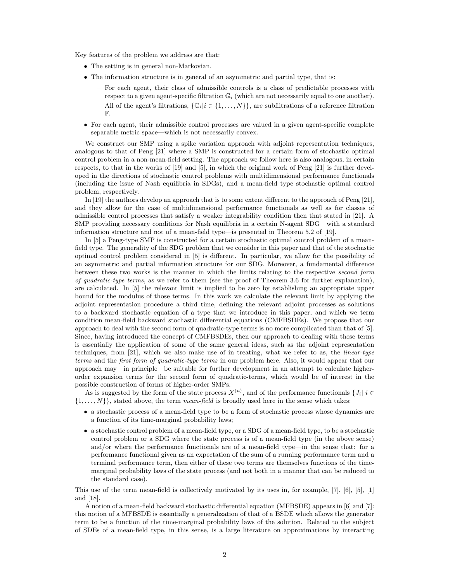Key features of the problem we address are that:

- The setting is in general non-Markovian.
- The information structure is in general of an asymmetric and partial type, that is:
	- For each agent, their class of admissible controls is a class of predictable processes with respect to a given agent-specific filtration  $\mathbb{G}_i$  (which are not necessarily equal to one another).
	- All of the agent's filtrations,  $\{\mathbb{G}_i | i \in \{1, ..., N\}\}\$ , are subfiltrations of a reference filtration F.
- For each agent, their admissible control processes are valued in a given agent-specific complete separable metric space—which is not necessarily convex.

We construct our SMP using a spike variation approach with adjoint representation techniques, analogous to that of Peng [21] where a SMP is constructed for a certain form of stochastic optimal control problem in a non-mean-field setting. The approach we follow here is also analogous, in certain respects, to that in the works of [19] and [5], in which the original work of Peng [21] is further developed in the directions of stochastic control problems with multidimensional performance functionals (including the issue of Nash equilibria in SDGs), and a mean-field type stochastic optimal control problem, respectively.

In [19] the authors develop an approach that is to some extent different to the approach of Peng [21], and they allow for the case of multidimensional performance functionals as well as for classes of admissible control processes that satisfy a weaker integrability condition then that stated in [21]. A SMP providing necessary conditions for Nash equilibria in a certain N-agent SDG—with a standard information structure and not of a mean-field type—is presented in Theorem 5.2 of [19].

In [5] a Peng-type SMP is constructed for a certain stochastic optimal control problem of a meanfield type. The generality of the SDG problem that we consider in this paper and that of the stochastic optimal control problem considered in [5] is different. In particular, we allow for the possibility of an asymmetric and partial information structure for our SDG. Moreover, a fundamental difference between these two works is the manner in which the limits relating to the respective second form of quadratic-type terms, as we refer to them (see the proof of Theorem 3.6 for further explanation), are calculated. In [5] the relevant limit is implied to be zero by establishing an appropriate upper bound for the modulus of those terms. In this work we calculate the relevant limit by applying the adjoint representation procedure a third time, defining the relevant adjoint processes as solutions to a backward stochastic equation of a type that we introduce in this paper, and which we term condition mean-field backward stochastic differential equations (CMFBSDEs). We propose that our approach to deal with the second form of quadratic-type terms is no more complicated than that of [5]. Since, having introduced the concept of CMFBSDEs, then our approach to dealing with these terms is essentially the application of some of the same general ideas, such as the adjoint representation techniques, from [21], which we also make use of in treating, what we refer to as, the linear-type terms and the first form of quadratic-type terms in our problem here. Also, it would appear that our approach may—in principle—be suitable for further development in an attempt to calculate higherorder expansion terms for the second form of quadratic-terms, which would be of interest in the possible construction of forms of higher-order SMPs.

As is suggested by the form of the state process  $X^{(u)}$ , and of the performance functionals  $\{J_i | i \in$  $\{1, \ldots, N\}$ , stated above, the term mean-field is broadly used here in the sense which takes:

- a stochastic process of a mean-field type to be a form of stochastic process whose dynamics are a function of its time-marginal probability laws;
- a stochastic control problem of a mean-field type, or a SDG of a mean-field type, to be a stochastic control problem or a SDG where the state process is of a mean-field type (in the above sense) and/or where the performance functionals are of a mean-field type—in the sense that: for a performance functional given as an expectation of the sum of a running performance term and a terminal performance term, then either of these two terms are themselves functions of the timemarginal probability laws of the state process (and not both in a manner that can be reduced to the standard case).

This use of the term mean-field is collectively motivated by its uses in, for example, [7], [6], [5], [1] and [18].

A notion of a mean-field backward stochastic differential equation (MFBSDE) appears in [6] and [7]: this notion of a MFBSDE is essentially a generalization of that of a BSDE which allows the generator term to be a function of the time-marginal probability laws of the solution. Related to the subject of SDEs of a mean-field type, in this sense, is a large literature on approximations by interacting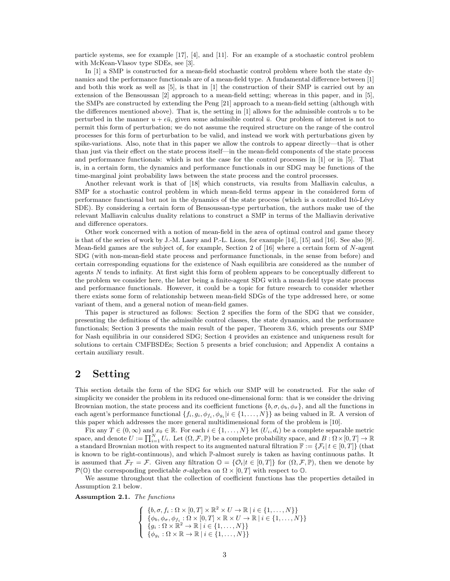particle systems, see for example [17], [4], and [11]. For an example of a stochastic control problem with McKean-Vlasov type SDEs, see [3].

In [1] a SMP is constructed for a mean-field stochastic control problem where both the state dynamics and the performance functionals are of a mean-field type. A fundamental difference between [1] and both this work as well as [5], is that in [1] the construction of their SMP is carried out by an extension of the Bensoussan [2] approach to a mean-field setting; whereas in this paper, and in [5], the SMPs are constructed by extending the Peng [21] approach to a mean-field setting (although with the differences mentioned above). That is, the setting in  $[1]$  allows for the admissible controls u to be perturbed in the manner  $u + \epsilon \bar{u}$ , given some admissible control  $\bar{u}$ . Our problem of interest is not to permit this form of perturbation; we do not assume the required structure on the range of the control processes for this form of perturbation to be valid, and instead we work with perturbations given by spike-variations. Also, note that in this paper we allow the controls to appear directly—that is other than just via their effect on the state process itself—in the mean-field components of the state process and performance functionals: which is not the case for the control processes in [1] or in [5]. That is, in a certain form, the dynamics and performance functionals in our SDG may be functions of the time-marginal joint probability laws between the state process and the control processes.

Another relevant work is that of [18] which constructs, via results from Malliavin calculus, a SMP for a stochastic control problem in which mean-field terms appear in the considered form of performance functional but not in the dynamics of the state process (which is a controlled Itô-Lévy SDE). By considering a certain form of Bensoussan-type perturbation, the authors make use of the relevant Malliavin calculus duality relations to construct a SMP in terms of the Malliavin derivative and difference operators.

Other work concerned with a notion of mean-field in the area of optimal control and game theory is that of the series of work by J.-M. Lasry and P.-L. Lions, for example [14], [15] and [16]. See also [9]. Mean-field games are the subject of, for example, Section 2 of [16] where a certain form of N-agent SDG (with non-mean-field state process and performance functionals, in the sense from before) and certain corresponding equations for the existence of Nash equilibria are considered as the number of agents N tends to infinity. At first sight this form of problem appears to be conceptually different to the problem we consider here, the later being a finite-agent SDG with a mean-field type state process and performance functionals. However, it could be a topic for future research to consider whether there exists some form of relationship between mean-field SDGs of the type addressed here, or some variant of them, and a general notion of mean-field games.

This paper is structured as follows: Section 2 specifies the form of the SDG that we consider, presenting the definitions of the admissible control classes, the state dynamics, and the performance functionals; Section 3 presents the main result of the paper, Theorem 3.6, which presents our SMP for Nash equilibria in our considered SDG; Section 4 provides an existence and uniqueness result for solutions to certain CMFBSDEs; Section 5 presents a brief conclusion; and Appendix A contains a certain auxiliary result.

## 2 Setting

This section details the form of the SDG for which our SMP will be constructed. For the sake of simplicity we consider the problem in its reduced one-dimensional form: that is we consider the driving Brownian motion, the state process and its coefficient functions  $\{b, \sigma, \phi_b, \phi_\sigma\}$ , and all the functions in each agent's performance functional  $\{f_i, g_i, \phi_{f_i}, \phi_{g_i} | i \in \{1, ..., N\}\}\$ as being valued in R. A version of this paper which addresses the more general multidimensional form of the problem is [10].

Fix any  $T \in (0, \infty)$  and  $x_0 \in \mathbb{R}$ . For each  $i \in \{1, ..., N\}$  let  $(U_i, d_i)$  be a complete separable metric space, and denote  $U := \prod_{i=1}^{N} U_i$ . Let  $(\Omega, \mathcal{F}, \mathbb{P})$  be a complete probability space, and  $B : \Omega \times [0, T] \to \mathbb{R}$ a standard Brownian motion with respect to its augmented natural filtration  $\mathbb{F} := \{ \mathcal{F}_t | t \in [0, T] \}$  (that is known to be right-continuous), and which P-almost surely is taken as having continuous paths. It is assumed that  $\mathcal{F}_T = \mathcal{F}$ . Given any filtration  $\mathbb{O} = {\mathcal{O}_t | t \in [0,T]}$  for  $(\Omega, \mathcal{F}, \mathbb{P})$ , then we denote by  $\mathcal{P}(\mathbb{O})$  the corresponding predictable  $\sigma$ -algebra on  $\Omega \times [0, T]$  with respect to  $\mathbb{O}$ .

We assume throughout that the collection of coefficient functions has the properties detailed in Assumption 2.1 below.

Assumption 2.1. The functions

$$
\left\{\n\begin{array}{l}\n\{b, \sigma, f_i : \Omega \times [0, T] \times \mathbb{R}^2 \times U \to \mathbb{R} \mid i \in \{1, \ldots, N\} \} \\
\{\phi_b, \phi_\sigma, \phi_{f_i} : \Omega \times [0, T] \times \mathbb{R} \times U \to \mathbb{R} \mid i \in \{1, \ldots, N\} \} \\
\{g_i : \Omega \times \mathbb{R}^2 \to \mathbb{R} \mid i \in \{1, \ldots, N\} \} \\
\{\phi_{g_i} : \Omega \times \mathbb{R} \to \mathbb{R} \mid i \in \{1, \ldots, N\} \}\n\end{array}\n\right.
$$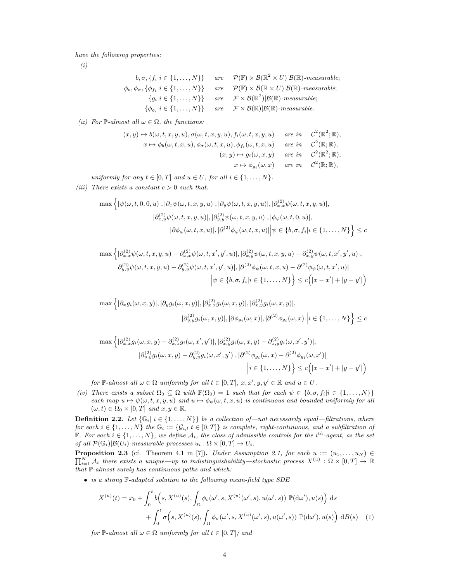have the following properties:

(i)

$$
b, \sigma, \{f_i | i \in \{1, ..., N\}\} \text{ are } \mathcal{P}(\mathbb{F}) \times \mathcal{B}(\mathbb{R}^2 \times U) | \mathcal{B}(\mathbb{R})\text{-}measurable; \n\phi_b, \phi_\sigma, \{\phi_{f_i} | i \in \{1, ..., N\}\} \text{ are } \mathcal{P}(\mathbb{F}) \times \mathcal{B}(\mathbb{R} \times U) | \mathcal{B}(\mathbb{R})\text{-}measurable; \n\{g_i | i \in \{1, ..., N\}\} \text{ are } \mathcal{F} \times \mathcal{B}(\mathbb{R}^2) | \mathcal{B}(\mathbb{R})\text{-}measurable; \n\{\phi_{g_i} | i \in \{1, ..., N\}\} \text{ are } \mathcal{F} \times \mathcal{B}(\mathbb{R}) | \mathcal{B}(\mathbb{R})\text{-}measurable.
$$

(ii) For  $\mathbb{P}\text{-almost all }\omega \in \Omega$ , the functions:

$$
(x, y) \mapsto b(\omega, t, x, y, u), \sigma(\omega, t, x, y, u), f_i(\omega, t, x, y, u) \quad \text{are in} \quad C^2(\mathbb{R}^2; \mathbb{R}),
$$
  

$$
x \mapsto \phi_b(\omega, t, x, u), \phi_\sigma(\omega, t, x, u), \phi_{f_i}(\omega, t, x, u) \quad \text{are in} \quad C^2(\mathbb{R}; \mathbb{R}),
$$
  

$$
(x, y) \mapsto g_i(\omega, x, y) \quad \text{are in} \quad C^2(\mathbb{R}^2; \mathbb{R}),
$$
  

$$
x \mapsto \phi_{g_i}(\omega, x) \quad \text{are in} \quad C^2(\mathbb{R}; \mathbb{R}),
$$

uniformly for any  $t \in [0, T]$  and  $u \in U$ , for all  $i \in \{1, \ldots, N\}$ .

(iii) There exists a constant  $c > 0$  such that:

$$
\max \left\{ |\psi(\omega, t, 0, 0, u)|, |\partial_x \psi(\omega, t, x, y, u)|, |\partial_y \psi(\omega, t, x, y, u)|, |\partial_{x,x}^{(2)} \psi(\omega, t, x, y, u)|, |\partial_{x,y}^{(2)} \psi(\omega, t, x, y, u)|, |\partial_{y,y}^{(2)} \psi(\omega, t, x, y, u)|, |\phi_{\psi}(\omega, t, 0, u)|, |\partial \phi_{\psi}(\omega, t, x, u)|, |\partial^{(2)} \phi_{\psi}(\omega, t, x, u)| \Big| \psi \in \{b, \sigma, f_i | i \in \{1, ..., N\}\right\} \leq c
$$

$$
\max \left\{ |\partial_{x,x}^{(2)} \psi(\omega, t, x, y, u) - \partial_{x,x}^{(2)} \psi(\omega, t, x', y', u)|, |\partial_{x,y}^{(2)} \psi(\omega, t, x, y, u) - \partial_{x,y}^{(2)} \psi(\omega, t, x', y', u)|, |\partial_{y,y}^{(2)} \psi(\omega, t, x, y, u) - \partial_{y,y}^{(2)} \psi(\omega, t, x', y', u)|, |\partial^{(2)} \phi_{\psi}(\omega, t, x, u) - \partial^{(2)} \phi_{\psi}(\omega, t, x', u)| |\psi \in \{b, \sigma, f_i | i \in \{1, ..., N\} \} \le c (|x - x'| + |y - y'|)
$$

$$
\max \left\{ |\partial_x g_i(\omega, x, y)|, |\partial_y g_i(\omega, x, y)|, |\partial_{x,x}^{(2)} g_i(\omega, x, y)|, |\partial_{x,y}^{(2)} g_i(\omega, x, y)|, \right\}
$$

$$
|\partial_{y,y}^{(2)} g_i(\omega, x, y)|, |\partial \phi_{g_i}(\omega, x)|, |\partial^{(2)} \phi_{g_i}(\omega, x)| \Big| i \in \{1, \dots, N\} \right\} \leq c
$$

$$
\max \left\{ |\partial_{x,x}^{(2)} g_i(\omega, x, y) - \partial_{x,x}^{(2)} g_i(\omega, x', y')|, |\partial_{x,y}^{(2)} g_i(\omega, x, y) - \partial_{x,y}^{(2)} g_i(\omega, x', y')|, | \partial_{y,y}^{(2)} g_i(\omega, x, y) - \partial_{y,y}^{(2)} g_i(\omega, x', y')|, |\partial^{(2)} \phi_{g_i}(\omega, x) - \partial^{(2)} \phi_{g_i}(\omega, x')| \right\}
$$

$$
|i \in \{1, ..., N\}\Big\} \le c \Big(|x - x'| + |y - y'|\Big)
$$

for P-almost all  $\omega \in \Omega$  uniformly for all  $t \in [0, T]$ ,  $x, x', y, y' \in \mathbb{R}$  and  $u \in U$ .

(iv) There exists a subset  $\Omega_0 \subseteq \Omega$  with  $\mathbb{P}(\Omega_0) = 1$  such that for each  $\psi \in \{b, \sigma, f_i | i \in \{1, ..., N\}\}\$ each map  $u \mapsto \psi(\omega, t, x, y, u)$  and  $u \mapsto \phi_{\psi}(\omega, t, x, u)$  is continuous and bounded uniformly for all  $(\omega, t) \in \Omega_0 \times [0, T]$  and  $x, y \in \mathbb{R}$ .

**Definition 2.2.** Let  $\{\mathbb{G}_i | i \in \{1, ..., N\}\}$  be a collection of—not necessarily equal—filtrations, where for each  $i \in \{1, \ldots, N\}$  the  $\mathbb{G}_i := \{G_{i,t}|t \in [0,T]\}$  is complete, right-continuous, and a subfiltration of F. For each  $i \in \{1, ..., N\}$ , we define  $A_i$ , the class of admissible controls for the i<sup>th</sup>-agent, as the set of all  $\mathcal{P}(\mathbb{G}_i)|\mathcal{B}(U_i)$ -measurable processes  $u_i : \Omega \times [0,T] \to U_i$ .

 $\prod_{i=1}^N A_i$  there exists a unique—up to indistinguishability—stochastic process  $X^{(u)}: \Omega \times [0,T] \to \mathbb{R}$ **Proposition 2.3** (cf. Theorem 4.1 in [7]). Under Assumption 2.1, for each  $u := (u_1, \ldots, u_N) \in$ that P-almost surely has continuous paths and which:

• is a strong  $\mathbb{F}\text{-}adapted$  solution to the following mean-field type SDE

$$
X^{(u)}(t) = x_0 + \int_0^t b\Big(s, X^{(u)}(s), \int_{\Omega} \phi_b(\omega', s, X^{(u)}(\omega', s), u(\omega', s)) \mathbb{P}(d\omega'), u(s)\Big) ds
$$
  
+ 
$$
\int_0^t \sigma\Big(s, X^{(u)}(s), \int_{\Omega} \phi_\sigma(\omega', s, X^{(u)}(\omega', s), u(\omega', s)) \mathbb{P}(d\omega'), u(s)\Big) dB(s) \quad (1)
$$

for  $\mathbb{P}\text{-almost all }\omega \in \Omega$  uniformly for all  $t \in [0,T]$ ; and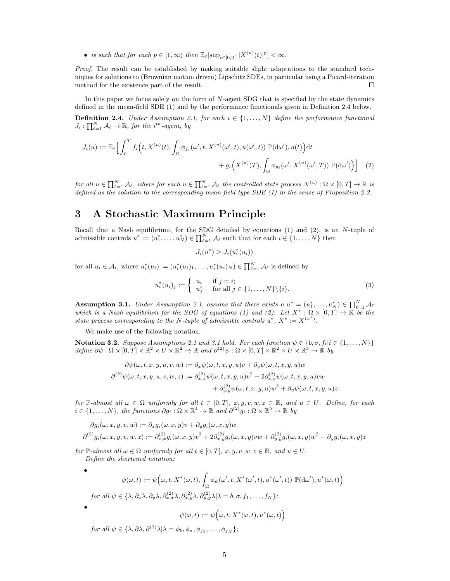• is such that for each  $p \in [1,\infty)$  then  $\mathbb{E}_{\mathbb{P}}[\sup_{t \in [0,T]} |X^{(u)}(t)|^p] < \infty$ .

Proof. The result can be established by making suitable slight adaptations to the standard techniques for solutions to (Brownian motion driven) Lipschitz SDEs, in particular using a Picard-iteration method for the existence part of the result.  $\Box$ 

In this paper we focus solely on the form of  $N$ -agent SDG that is specified by the state dynamics defined in the mean-field SDE (1) and by the performance functionals given in Definition 2.4 below.

**Definition 2.4.** Under Assumption 2.1, for each  $i \in \{1, ..., N\}$  define the performance functional  $J_i: \prod_{\ell=1}^N \mathcal{A}_\ell \to \mathbb{R}$ , for the i<sup>th</sup>-agent, by

$$
J_i(u) := \mathbb{E}_{\mathbb{P}}\Big[\int_0^T f_i\Big(t, X^{(u)}(t), \int_{\Omega} \phi_{f_i}(\omega', t, X^{(u)}(\omega', t), u(\omega', t)) \mathbb{P}(\mathrm{d}\omega'), u(t)\Big) \mathrm{d}t + g_i\Big(X^{(u)}(T), \int_{\Omega} \phi_{g_i}(\omega', X^{(u)}(\omega', T)) \mathbb{P}(\mathrm{d}\omega')\Big)\Big] \tag{2}
$$

 $for\ all\ u\in \prod_{\ell=1}^N\mathcal{A}_\ell,\ where\ for\ each\ u\in \prod_{\ell=1}^N\mathcal{A}_\ell\ the\ controlled\ state\ process\ X^{(u)}:\Omega\times[0,T]\to\mathbb{R}\ is$ defined as the solution to the corresponding mean-field type SDE  $(1)$  in the sense of Proposition 2.3.

## 3 A Stochastic Maximum Principle

Recall that a Nash equilibrium, for the SDG detailed by equations  $(1)$  and  $(2)$ , is an N-tuple of admissible controls  $u^* := (u_1^*, \ldots, u_N^*) \in \prod_{\ell=1}^N \mathcal{A}_\ell$  such that for each  $i \in \{1, \ldots, N\}$  then

 $J_i(u^*) \geq J_i(u_i^*(u_i))$ 

for all  $u_i \in \mathcal{A}_i$ , where  $u_i^*(u_i) := (u_i^*(u_i)_1, \ldots, u_i^*(u_i)_N) \in \prod_{\ell=1}^N \mathcal{A}_\ell$  is defined by

$$
u_i^*(u_i)_j := \begin{cases} u_i & \text{if } j = i; \\ u_j^* & \text{for all } j \in \{1, \dots, N\} \setminus \{i\}. \end{cases}
$$
 (3)

**Assumption 3.1.** Under Assumption 2.1, assume that there exists a  $u^* = (u_1^*, \ldots, u_N^*) \in \prod_{\ell=1}^N A_\ell$ which is a Nash equilibrium for the SDG of equations (1) and (2). Let  $X^*:\Omega\times[0,T]\to\mathbb{R}$  be the state process corresponding to the N-tuple of admissible controls  $u^*$ ,  $X^* := X^{(u^*)}$ .

We make use of the following notation.

**Notation 3.2.** Suppose Assumptions 2.1 and 3.1 hold. For each function  $\psi \in \{b, \sigma, f_i | i \in \{1, ..., N\}\}\$ define  $\partial \psi : \Omega \times [0,T] \times \mathbb{R}^2 \times U \times \mathbb{R}^2 \to \mathbb{R}$  and  $\partial^{(2)} \psi : \Omega \times [0,T] \times \mathbb{R}^2 \times U \times \mathbb{R}^3 \to \mathbb{R}$  by

$$
\partial \psi(\omega, t, x, y, u, v, w) := \partial_x \psi(\omega, t, x, y, u)v + \partial_y \psi(\omega, t, x, y, u)w
$$
  

$$
\partial^{(2)} \psi(\omega, t, x, y, u, v, w, z) := \partial_{x,x}^{(2)} \psi(\omega, t, x, y, u)v^2 + 2\partial_{x,y}^{(2)} \psi(\omega, t, x, y, u)vw
$$
  

$$
+ \partial_{y,y}^{(2)} \psi(\omega, t, x, y, u)w^2 + \partial_y \psi(\omega, t, x, y, u)z
$$

for P-almost all  $\omega \in \Omega$  uniformly for all  $t \in [0,T]$ ,  $x, y, v, w, z \in \mathbb{R}$ , and  $u \in U$ . Define, for each  $i \in \{1, \ldots, N\}$ , the functions  $\partial g_i : \Omega \times \mathbb{R}^4 \to \mathbb{R}$  and  $\partial^{(2)} g_i : \Omega \times \mathbb{R}^5 \to \mathbb{R}$  by

$$
\partial g_i(\omega, x, y, v, w) := \partial_x g_i(\omega, x, y)v + \partial_y g_i(\omega, x, y)w
$$
  

$$
\partial^{(2)} g_i(\omega, x, y, v, w, z) := \partial_{x,x}^{(2)} g_i(\omega, x, y)v^2 + 2\partial_{x,y}^{(2)} g_i(\omega, x, y)vw + \partial_{y,y}^{(2)} g_i(\omega, x, y)w^2 + \partial_y g_i(\omega, x, y)z
$$

for  $\mathbb{P}\text{-almost all }\omega \in \Omega$  uniformly for all  $t \in [0,T], x, y, v, w, z \in \mathbb{R}$ , and  $u \in U$ . Define the shortened notation:

$$
\bullet
$$

•

$$
\psi(\omega, t) := \psi\Big(\omega, t, X^*(\omega, t), \int_{\Omega} \phi_{\psi}(\omega', t, X^*(\omega', t), u^*(\omega', t)) \mathbb{P}(\mathrm{d}\omega'), u^*(\omega, t)\Big)
$$

for all 
$$
\psi \in \{\lambda, \partial_x \lambda, \partial_y \lambda, \partial_{x,x}^{(2)} \lambda, \partial_{x,y}^{(2)} \lambda, \partial_{y,y}^{(2)} \lambda | \lambda = b, \sigma, f_1, \ldots, f_N\};
$$

 $\psi$ 

$$
(\omega,t):=\psi\Big(\omega,t,X^*(\omega,t),u^*(\omega,t)\Big)
$$

for all  $\psi \in {\lambda, \partial \lambda, \partial^{(2)} \lambda | \lambda = \phi_b, \phi_\sigma, \phi_{f_1}, \dots, \phi_{f_N}}$ ;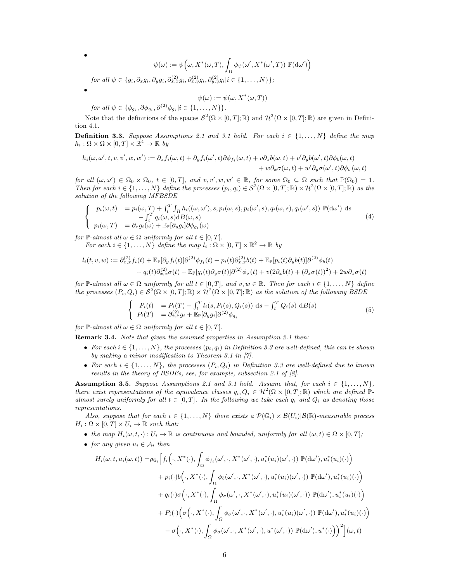$$
\psi(\omega) := \psi\Big(\omega, X^*(\omega, T), \int_{\Omega} \phi_{\psi}(\omega', X^*(\omega', T)) \mathbb{P}(\mathrm{d}\omega')\Big)
$$

 $for\ all\ \psi \in \{g_i, \partial_x g_i, \partial_y g_i, \partial_{x,x}^{(2)} g_i, \partial_{x,y}^{(2)} g_i, \partial_{y,y}^{(2)} g_i | i \in \{1, \ldots, N\} \};$ 

$$
\psi(\omega):=\psi(\omega,X^*(\omega,T))
$$

for all  $\psi \in \{\phi_{g_i}, \partial \phi_{g_i}, \partial^{(2)} \phi_{g_i} | i \in \{1, \ldots, N\}\}.$ 

•

•

Note that the definitions of the spaces  $S^2(\Omega \times [0,T];\mathbb{R})$  and  $\mathcal{H}^2(\Omega \times [0,T];\mathbb{R})$  are given in Definition 4.1.

**Definition 3.3.** Suppose Assumptions 2.1 and 3.1 hold. For each  $i \in \{1, \ldots, N\}$  define the map  $h_i: \Omega \times \Omega \times [0,T] \times \mathbb{R}^4 \to \mathbb{R}$  by

$$
h_i(\omega, \omega', t, v, v', w, w') := \partial_x f_i(\omega, t) + \partial_y f_i(\omega', t) \partial \phi_{f_i}(\omega, t) + v \partial_x b(\omega, t) + v' \partial_y b(\omega', t) \partial \phi_b(\omega, t) + w \partial_x \sigma(\omega, t) + w' \partial_y \sigma(\omega', t) \partial \phi_{\sigma}(\omega, t)
$$

for all  $(\omega, \omega') \in \Omega_0 \times \Omega_0$ ,  $t \in [0, T]$ , and  $v, v', w, w' \in \mathbb{R}$ , for some  $\Omega_0 \subseteq \Omega$  such that  $\mathbb{P}(\Omega_0) = 1$ . Then for each  $i \in \{1, ..., N\}$  define the processes  $(p_i, q_i) \in S^2(\Omega \times [0, T]; \mathbb{R}) \times \mathcal{H}^2(\Omega \times [0, T]; \mathbb{R})$  as the solution of the following MFBSDE

$$
\begin{cases}\n p_i(\omega, t) = p_i(\omega, T) + \int_t^T \int_{\Omega} h_i((\omega, \omega'), s, p_i(\omega, s), p_i(\omega', s), q_i(\omega, s), q_i(\omega', s)) \mathbb{P}(\text{d}\omega') \text{ d}s \\
 - \int_t^T q_i(\omega, s) \text{d}B(\omega, s) \\
 p_i(\omega, T) = \partial_x g_i(\omega) + \mathbb{E}_{\mathbb{P}}[\partial_y g_i] \partial \phi_{g_i}(\omega)\n\end{cases}
$$
\n(4)

for  $\mathbb{P}\text{-almost all } \omega \in \Omega \text{ uniformly for all } t \in [0,T].$ 

For each  $i \in \{1, ..., N\}$  define the map  $l_i : \Omega \times [0, T] \times \mathbb{R}^2 \to \mathbb{R}$  by

$$
l_i(t, v, w) := \partial_{x,x}^{(2)} f_i(t) + \mathbb{E}_{\mathbb{P}}[\partial_y f_i(t)] \partial^{(2)} \phi_{f_i}(t) + p_i(t) \partial_{x,x}^{(2)} b(t) + \mathbb{E}_{\mathbb{P}}[p_i(t) \partial_y b(t)] \partial^{(2)} \phi_b(t) + q_i(t) \partial_{x,x}^{(2)} \sigma(t) + \mathbb{E}_{\mathbb{P}}[q_i(t) \partial_y \sigma(t)] \partial^{(2)} \phi_{\sigma}(t) + v(2 \partial_x b(t) + (\partial_x \sigma(t))^2) + 2w \partial_x \sigma(t)
$$

for P-almost all  $\omega \in \Omega$  uniformly for all  $t \in [0,T]$ , and  $v, w \in \mathbb{R}$ . Then for each  $i \in \{1,\ldots,N\}$  define the processes  $(P_i, Q_i) \in \mathcal{S}^2(\Omega \times [0,T]; \mathbb{R}) \times \mathcal{H}^2(\Omega \times [0,T]; \mathbb{R})$  as the solution of the following BSDE

$$
\begin{cases}\nP_i(t) = P_i(T) + \int_t^T l_i(s, P_i(s), Q_i(s)) \, ds - \int_t^T Q_i(s) \, dB(s) \\
P_i(T) = \partial_{x,x}^{(2)} g_i + \mathbb{E}_{\mathbb{P}}[\partial_y g_i] \partial^{(2)} \phi_{g_i}\n\end{cases} \tag{5}
$$

for  $\mathbb{P}\text{-almost all }\omega \in \Omega$  uniformly for all  $t \in [0, T]$ .

Remark 3.4. Note that given the assumed properties in Assumption 2.1 then:

- For each  $i \in \{1, \ldots, N\}$ , the processes  $(p_i, q_i)$  in Definition 3.3 are well-defined, this can be shown by making a minor modification to Theorem 3.1 in [7].
- For each  $i \in \{1, \ldots, N\}$ , the processes  $(P_i, Q_i)$  in Definition 3.3 are well-defined due to known results in the theory of BSDEs, see, for example, subsection 2.1 of [8].

**Assumption 3.5.** Suppose Assumptions 2.1 and 3.1 hold. Assume that, for each  $i \in \{1, \ldots, N\}$ , there exist representations of the equivalence classes  $q_i, Q_i \in \mathcal{H}^2(\Omega \times [0,T]; \mathbb{R})$  which are defined  $\mathbb{P}$ almost surely uniformly for all  $t \in [0, T]$ . In the following we take each  $q_i$  and  $Q_i$  as denoting those representations.

Also, suppose that for each  $i \in \{1,\ldots,N\}$  there exists a  $\mathcal{P}(\mathbb{G}_i) \times \mathcal{B}(U_i)|\mathcal{B}(\mathbb{R})$ -measurable process  $H_i : \Omega \times [0, T] \times U_i \to \mathbb{R}$  such that:

- the map  $H_i(\omega, t, \cdot): U_i \to \mathbb{R}$  is continuous and bounded, uniformly for all  $(\omega, t) \in \Omega \times [0, T]$ ;
- for any given  $u_i \in \mathcal{A}_i$  then

$$
H_i(\omega, t, u_i(\omega, t)) = \rho_{\mathbb{G}_i} \Big[ f_i\Big(\cdot, X^*(\cdot), \int_{\Omega} \phi_{f_i}(\omega', \cdot, X^*(\omega', \cdot), u_i^*(u_i)(\omega', \cdot)) \mathbb{P}(\mathrm{d}\omega'), u_i^*(u_i)(\cdot)\Big) + p_i(\cdot) b\Big(\cdot, X^*(\cdot), \int_{\Omega} \phi_b(\omega', \cdot, X^*(\omega', \cdot), u_i^*(u_i)(\omega', \cdot)) \mathbb{P}(\mathrm{d}\omega'), u_i^*(u_i)(\cdot)\Big) + q_i(\cdot) \sigma\Big(\cdot, X^*(\cdot), \int_{\Omega} \phi_\sigma(\omega', \cdot, X^*(\omega', \cdot), u_i^*(u_i)(\omega', \cdot)) \mathbb{P}(\mathrm{d}\omega'), u_i^*(u_i)(\cdot)\Big) + P_i(\cdot) \Big(\sigma\Big(\cdot, X^*(\cdot), \int_{\Omega} \phi_\sigma(\omega', \cdot, X^*(\omega', \cdot), u_i^*(u_i)(\omega', \cdot)) \mathbb{P}(\mathrm{d}\omega'), u_i^*(u_i)(\cdot)\Big) - \sigma\Big(\cdot, X^*(\cdot), \int_{\Omega} \phi_\sigma(\omega', \cdot, X^*(\omega', \cdot), u^*(\omega', \cdot)) \mathbb{P}(\mathrm{d}\omega'), u^*(\cdot)\Big)\Big)^2\Big] (\omega, t)
$$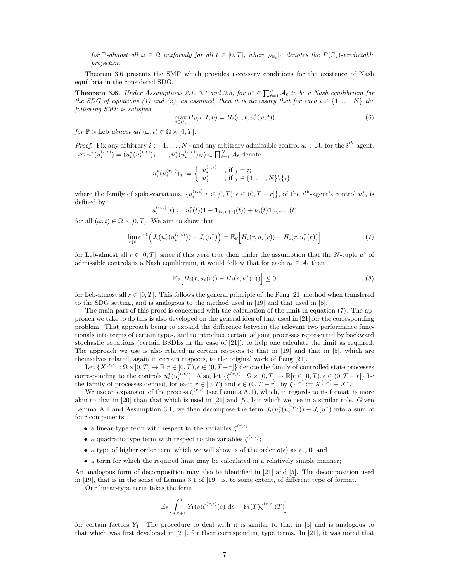for  $\mathbb{P}\text{-almost all } \omega \in \Omega \text{ uniformly for all } t \in [0,T], \text{ where } \rho_{\mathbb{G}_i}[\cdot] \text{ denotes the } \mathcal{P}(\mathbb{G}_i)\text{-predictable }$ projection.

Theorem 3.6 presents the SMP which provides necessary conditions for the existence of Nash equilibria in the considered SDG.

**Theorem 3.6.** Under Assumptions 2.1, 3.1 and 3.5, for  $u^* \in \prod_{\ell=1}^N A_\ell$  to be a Nash equilibrium for the SDG of equations (1) and (2), as assumed, then it is necessary that for each  $i \in \{1, \ldots, N\}$  the following SMP is satisfied

$$
\max_{v \in U_i} H_i(\omega, t, v) = H_i(\omega, t, u_i^*(\omega, t))
$$
\n(6)

for  $\mathbb{P} \otimes$  Leb-almost all  $(\omega, t) \in \Omega \times [0, T]$ .

*Proof.* Fix any arbitrary  $i \in \{1, ..., N\}$  and any arbitrary admissible control  $u_i \in A_i$  for the  $i^{th}$ -agent. Let  $u_i^*(u_i^{(r,\epsilon)}) = (u_i^*(u_i^{(r,\epsilon)})_1, \ldots, u_i^*(u_i^{(r,\epsilon)})_N) \in \prod_{\ell=1}^N \mathcal{A}_\ell$  denote

$$
u_i^*(u_i^{(r,\epsilon)})_j := \begin{cases} u_i^{(r,\epsilon)} & , \text{if } j = i; \\ u_j^* & , \text{if } j \in \{1,\ldots,N\} \backslash \{i\}; \end{cases}
$$

where the family of spike-variations,  $\{u_i^{(r,\epsilon)} | r \in [0,T), \epsilon \in (0,T-r] \}$ , of the *i*<sup>th</sup>-agent's control  $u_i^*$ , is defined by

$$
u_i^{(r,\epsilon)}(t) := u_i^*(t)(1 - \mathbf{1}_{(r,r+\epsilon]}(t)) + u_i(t)\mathbf{1}_{(r,r+\epsilon]}(t)
$$

for all  $(\omega, t) \in \Omega \times [0, T]$ . We aim to show that

$$
\lim_{\epsilon \downarrow 0} \epsilon^{-1} \Big( J_i(u_i^*(u_i^{(r,\epsilon)})) - J_i(u^*) \Big) = \mathbb{E}_{\mathbb{P}} \Big[ H_i(r, u_i(r)) - H_i(r, u_i^*(r)) \Big] \tag{7}
$$

for Leb-almost all  $r \in [0, T]$ , since if this were true then under the assumption that the N-tuple  $u^*$  of admissible controls is a Nash equilibrium, it would follow that for each  $u_i \in A_i$  then

$$
\mathbb{E}_{\mathbb{P}}\Big[H_i(r, u_i(r)) - H_i(r, u_i^*(r))\Big] \leq 0 \tag{8}
$$

for Leb-almost all  $r \in [0, T]$ . This follows the general principle of the Peng [21] method when transfered to the SDG setting, and is analogous to the method used in [19] and that used in [5].

The main part of this proof is concerned with the calculation of the limit in equation (7). The approach we take to do this is also developed on the general idea of that used in [21] for the corresponding problem. That approach being to expand the difference between the relevant two performance functionals into terms of certain types, and to introduce certain adjoint processes represented by backward stochastic equations (certain BSDEs in the case of [21]), to help one calculate the limit as required. The approach we use is also related in certain respects to that in [19] and that in [5], which are themselves related, again in certain respects, to the original work of Peng [21].

Let  $\{X^{(r,\epsilon)} : \Omega \times [0,T] \to \mathbb{R} | r \in [0,T), \epsilon \in (0,T-r] \}$  denote the family of controlled state processes corresponding to the controls  $u_i^*(u_i^{(r,\epsilon)})$ . Also, let  $\{\zeta^{(r,\epsilon)} : \Omega \times [0,T] \to \mathbb{R} | r \in [0,T), \epsilon \in (0,T-r] \}$  be the family of processes defined, for each  $r \in [0, T)$  and  $\epsilon \in (0, T - r]$ , by  $\zeta^{(r,\epsilon)} := X^{(r,\epsilon)} - X^*$ .

We use an expansion of the process  $\zeta^{(r,\epsilon)}$  (see Lemma A.1), which, in regards to its format, is more akin to that in [20] than that which is used in [21] and [5], but which we use in a similar role. Given Lemma A.1 and Assumption 3.1, we then decompose the term  $J_i(u_i^*(u_i^{(r,\epsilon)})) - J_i(u^*)$  into a sum of four components:

- a linear-type term with respect to the variables  $\zeta^{(r,\epsilon)}$ ;
- a quadratic-type term with respect to the variables  $\zeta^{(r,\epsilon)}$ ;
- a type of higher order term which we will show is of the order  $o(\epsilon)$  as  $\epsilon \downarrow 0$ ; and
- a term for which the required limit may be calculated in a relatively simple manner;

An analogous form of decomposition may also be identified in [21] and [5]. The decomposition used in [19], that is in the sense of Lemma 3.1 of [19], is, to some extent, of different type of format.

Our linear-type term takes the form

$$
\mathbb{E}_{\mathbb{P}}\Big[\int_{r+\epsilon}^T Y_1(s)\zeta^{(r,\epsilon)}(s)\,\mathrm{d} s+Y_1(T)\zeta^{(r,\epsilon)}(T)\Big]
$$

for certain factors  $Y_1$ . The procedure to deal with it is similar to that in [5] and is analogous to that which was first developed in [21], for their corresponding type terms. In [21], it was noted that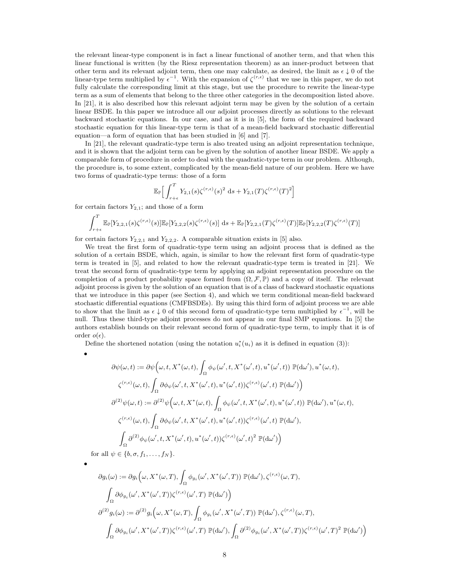the relevant linear-type component is in fact a linear functional of another term, and that when this linear functional is written (by the Riesz representation theorem) as an inner-product between that other term and its relevant adjoint term, then one may calculate, as desired, the limit as  $\epsilon \downarrow 0$  of the linear-type term multiplied by  $\epsilon^{-1}$ . With the expansion of  $\zeta^{(r,\epsilon)}$  that we use in this paper, we do not fully calculate the corresponding limit at this stage, but use the procedure to rewrite the linear-type term as a sum of elements that belong to the three other categories in the decomposition listed above. In [21], it is also described how this relevant adjoint term may be given by the solution of a certain linear BSDE. In this paper we introduce all our adjoint processes directly as solutions to the relevant backward stochastic equations. In our case, and as it is in [5], the form of the required backward stochastic equation for this linear-type term is that of a mean-field backward stochastic differential equation—a form of equation that has been studied in [6] and [7].

In [21], the relevant quadratic-type term is also treated using an adjoint representation technique, and it is shown that the adjoint term can be given by the solution of another linear BSDE. We apply a comparable form of procedure in order to deal with the quadratic-type term in our problem. Although, the procedure is, to some extent, complicated by the mean-field nature of our problem. Here we have two forms of quadratic-type terms: those of a form

$$
\mathbb{E}_{\mathbb{P}}\Big[\int_{r+\epsilon}^T Y_{2,1}(s)\zeta^{(r,\epsilon)}(s)^2\mathrm{~d} s+Y_{2,1}(T)\zeta^{(r,\epsilon)}(T)^2\Big]
$$

for certain factors  $Y_{2,1}$ ; and those of a form

$$
\int_{r+\epsilon}^{T} \mathbb{E}_{\mathbb{P}}[Y_{2,2,1}(s)\zeta^{(r,\epsilon)}(s)] \mathbb{E}_{\mathbb{P}}[Y_{2,2,2}(s)\zeta^{(r,\epsilon)}(s)] \, ds + \mathbb{E}_{\mathbb{P}}[Y_{2,2,1}(T)\zeta^{(r,\epsilon)}(T)] \mathbb{E}_{\mathbb{P}}[Y_{2,2,2}(T)\zeta^{(r,\epsilon)}(T)]
$$

for certain factors  $Y_{2,2,1}$  and  $Y_{2,2,2}$ . A comparable situation exists in [5] also.

We treat the first form of quadratic-type term using an adjoint process that is defined as the solution of a certain BSDE, which, again, is similar to how the relevant first form of quadratic-type term is treated in [5], and related to how the relevant quadratic-type term is treated in [21]. We treat the second form of quadratic-type term by applying an adjoint representation procedure on the completion of a product probability space formed from  $(\Omega, \mathcal{F}, \mathbb{P})$  and a copy of itself. The relevant adjoint process is given by the solution of an equation that is of a class of backward stochastic equations that we introduce in this paper (see Section 4), and which we term conditional mean-field backward stochastic differential equations (CMFBSDEs). By using this third form of adjoint process we are able to show that the limit as  $\epsilon \downarrow 0$  of this second form of quadratic-type term multiplied by  $\epsilon^{-1}$ , will be null. Thus these third-type adjoint processes do not appear in our final SMP equations. In [5] the authors establish bounds on their relevant second form of quadratic-type term, to imply that it is of order  $o(\epsilon)$ .

Define the shortened notation (using the notation  $u_i^*(u_i)$  as it is defined in equation (3)):

$$
\partial \psi(\omega, t) := \partial \psi \Big(\omega, t, X^*(\omega, t), \int_{\Omega} \phi_{\psi}(\omega', t, X^*(\omega', t), u^*(\omega', t)) \mathbb{P}(\mathrm{d}\omega'), u^*(\omega, t),
$$
  

$$
\zeta^{(r,\epsilon)}(\omega, t), \int_{\Omega} \partial \phi_{\psi}(\omega', t, X^*(\omega', t), u^*(\omega', t)) \zeta^{(r,\epsilon)}(\omega', t) \mathbb{P}(\mathrm{d}\omega') \Big)
$$
  

$$
\partial^{(2)} \psi(\omega, t) := \partial^{(2)} \psi \Big(\omega, t, X^*(\omega, t), \int_{\Omega} \phi_{\psi}(\omega', t, X^*(\omega', t), u^*(\omega', t)) \mathbb{P}(\mathrm{d}\omega'), u^*(\omega, t),
$$
  

$$
\zeta^{(r,\epsilon)}(\omega, t), \int_{\Omega} \partial \phi_{\psi}(\omega', t, X^*(\omega', t), u^*(\omega', t)) \zeta^{(r,\epsilon)}(\omega', t) \mathbb{P}(\mathrm{d}\omega'),
$$
  

$$
\int_{\Omega} \partial^{(2)} \phi_{\psi}(\omega', t, X^*(\omega', t), u^*(\omega', t)) \zeta^{(r,\epsilon)}(\omega', t)^2 \mathbb{P}(\mathrm{d}\omega') \Big)
$$
  
for all  $\psi \in \{b, \sigma, f_1, \ldots, f_N\}.$ 

•

•

$$
\partial g_i(\omega) := \partial g_i\left(\omega, X^*(\omega, T), \int_{\Omega} \phi_{g_i}(\omega', X^*(\omega', T)) \mathbb{P}(\mathrm{d}\omega'), \zeta^{(r,\epsilon)}(\omega, T), \right)
$$
  

$$
\int_{\Omega} \partial \phi_{g_i}(\omega', X^*(\omega', T)) \zeta^{(r,\epsilon)}(\omega', T) \mathbb{P}(\mathrm{d}\omega') \right)
$$
  

$$
\partial^{(2)} g_i(\omega) := \partial^{(2)} g_i\left(\omega, X^*(\omega, T), \int_{\Omega} \phi_{g_i}(\omega', X^*(\omega', T)) \mathbb{P}(\mathrm{d}\omega'), \zeta^{(r,\epsilon)}(\omega, T), \right)
$$
  

$$
\int_{\Omega} \partial \phi_{g_i}(\omega', X^*(\omega', T)) \zeta^{(r,\epsilon)}(\omega', T) \mathbb{P}(\mathrm{d}\omega'), \int_{\Omega} \partial^{(2)} \phi_{g_i}(\omega', X^*(\omega', T)) \zeta^{(r,\epsilon)}(\omega', T)^2 \mathbb{P}(\mathrm{d}\omega') \right)
$$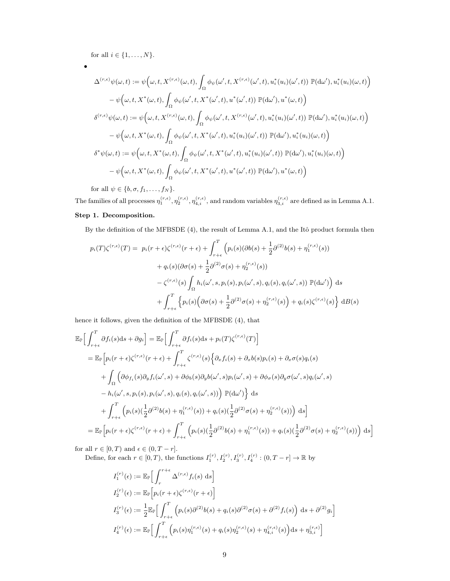for all  $i\in\{1,\ldots,N\}.$ 

$$
\bullet
$$

$$
\Delta^{(r,\epsilon)}\psi(\omega,t) := \psi\Big(\omega,t,X^{(r,\epsilon)}(\omega,t),\int_{\Omega}\phi_{\psi}(\omega',t,X^{(r,\epsilon)}(\omega',t),u_i^*(u_i)(\omega',t))\mathbb{P}(\mathrm{d}\omega'),u_i^*(u_i)(\omega,t)\Big) \n- \psi\Big(\omega,t,X^*(\omega,t),\int_{\Omega}\phi_{\psi}(\omega',t,X^*(\omega',t),u^*(\omega',t))\mathbb{P}(\mathrm{d}\omega'),u^*(\omega,t)\Big) \n\delta^{(r,\epsilon)}\psi(\omega,t) := \psi\Big(\omega,t,X^{(r,\epsilon)}(\omega,t),\int_{\Omega}\phi_{\psi}(\omega',t,X^{(r,\epsilon)}(\omega',t),u_i^*(u_i)(\omega',t))\mathbb{P}(\mathrm{d}\omega'),u_i^*(u_i)(\omega,t)\Big) \n- \psi\Big(\omega,t,X^*(\omega,t),\int_{\Omega}\phi_{\psi}(\omega',t,X^*(\omega',t),u_i^*(u_i)(\omega',t))\mathbb{P}(\mathrm{d}\omega'),u_i^*(u_i)(\omega,t)\Big) \n\delta^*\psi(\omega,t) := \psi\Big(\omega,t,X^*(\omega,t),\int_{\Omega}\phi_{\psi}(\omega',t,X^*(\omega',t),u_i^*(u_i)(\omega',t))\mathbb{P}(\mathrm{d}\omega'),u_i^*(u_i)(\omega,t)\Big) \n- \psi\Big(\omega,t,X^*(\omega,t),\int_{\Omega}\phi_{\psi}(\omega',t,X^*(\omega',t),u^*(\omega',t))\mathbb{P}(\mathrm{d}\omega'),u^*(\omega,t)\Big)
$$

for all  $\psi \in \{b, \sigma, f_1, \ldots, f_N\}.$ 

The families of all processes  $\eta_1^{(r,\epsilon)}, \eta_2^{(r,\epsilon)}, \eta_{4,i}^{(r,\epsilon)}$ , and random variables  $\eta_{3,i}^{(r,\epsilon)}$  are defined as in Lemma A.1. Step 1. Decomposition.

By the definition of the MFBSDE (4), the result of Lemma A.1, and the Itô product formula then

$$
p_i(T)\zeta^{(r,\epsilon)}(T) = p_i(r+\epsilon)\zeta^{(r,\epsilon)}(r+\epsilon) + \int_{r+\epsilon}^T \left( p_i(s)(\partial b(s) + \frac{1}{2}\partial^{(2)}b(s) + \eta_1^{(r,\epsilon)}(s)) + q_i(s)(\partial \sigma(s) + \frac{1}{2}\partial^{(2)}\sigma(s) + \eta_2^{(r,\epsilon)}(s)) - \zeta^{(r,\epsilon)}(s)\int_{\Omega} h_i(\omega',s,p_i(s),p_i(\omega',s),q_i(s),q_i(\omega',s)) \mathbb{P}(\mathrm{d}\omega')\right) ds + \int_{r+\epsilon}^T \left\{p_i(s)\Big(\partial \sigma(s) + \frac{1}{2}\partial^{(2)}\sigma(s) + \eta_2^{(r,\epsilon)}(s)\Big) + q_i(s)\zeta^{(r,\epsilon)}(s)\right\} \mathrm{d}B(s)
$$

hence it follows, given the definition of the MFBSDE (4), that

$$
\mathbb{E}_{\mathbb{P}}\Big[\int_{r+\epsilon}^{T} \partial f_{i}(s)ds + \partial g_{i}\Big] = \mathbb{E}_{\mathbb{P}}\Big[\int_{r+\epsilon}^{T} \partial f_{i}(s)ds + p_{i}(T)\zeta^{(r,\epsilon)}(T)\Big]
$$
\n
$$
= \mathbb{E}_{\mathbb{P}}\Big[p_{i}(r+\epsilon)\zeta^{(r,\epsilon)}(r+\epsilon) + \int_{r+\epsilon}^{T} \zeta^{(r,\epsilon)}(s)\Big\{\partial_{x}f_{i}(s) + \partial_{x}b(s)p_{i}(s) + \partial_{x}\sigma(s)q_{i}(s) + \int_{\Omega}\Big(\partial\phi_{f_{i}}(s)\partial_{y}f_{i}(\omega',s) + \partial\phi_{b}(s)\partial_{y}b(\omega',s)p_{i}(\omega',s) + \partial\phi_{\sigma}(s)\partial_{y}\sigma(\omega',s)q_{i}(\omega',s) - h_{i}(\omega',s,p_{i}(s),p_{i}(\omega',s),q_{i}(s),q_{i}(\omega',s))\Big)\ \mathbb{P}(\mathrm{d}\omega')\Big\}\ ds
$$
\n
$$
+ \int_{r+\epsilon}^{T}\Big(p_{i}(s)(\frac{1}{2}\partial^{(2)}b(s) + \eta_{1}^{(r,\epsilon)}(s)) + q_{i}(s)(\frac{1}{2}\partial^{(2)}\sigma(s) + \eta_{2}^{(r,\epsilon)}(s))\Big)\ \mathrm{d}s\Big]
$$
\n
$$
= \mathbb{E}_{\mathbb{P}}\Big[p_{i}(r+\epsilon)\zeta^{(r,\epsilon)}(r+\epsilon) + \int_{r+\epsilon}^{T}\Big(p_{i}(s)(\frac{1}{2}\partial^{(2)}b(s) + \eta_{1}^{(r,\epsilon)}(s)) + q_{i}(s)(\frac{1}{2}\partial^{(2)}\sigma(s) + \eta_{2}^{(r,\epsilon)}(s))\Big)\ \mathrm{d}s\Big]
$$

for all  $r \in [0, T)$  and  $\epsilon \in (0, T - r]$ .

Define, for each  $r \in [0, T)$ , the functions  $I_1^{(r)}, I_2^{(r)}, I_3^{(r)}, I_4^{(r)} : (0, T - r] \to \mathbb{R}$  by

$$
I_1^{(r)}(\epsilon) := \mathbb{E}_{\mathbb{P}} \Big[ \int_r^{r+\epsilon} \Delta^{(r,\epsilon)} f_i(s) ds \Big]
$$
  
\n
$$
I_2^{(r)}(\epsilon) := \mathbb{E}_{\mathbb{P}} \Big[ p_i(r+\epsilon) \zeta^{(r,\epsilon)}(r+\epsilon) \Big]
$$
  
\n
$$
I_3^{(r)}(\epsilon) := \frac{1}{2} \mathbb{E}_{\mathbb{P}} \Big[ \int_{r+\epsilon}^T \Big( p_i(s) \partial^{(2)} b(s) + q_i(s) \partial^{(2)} \sigma(s) + \partial^{(2)} f_i(s) \Big) ds + \partial^{(2)} g_i \Big]
$$
  
\n
$$
I_4^{(r)}(\epsilon) := \mathbb{E}_{\mathbb{P}} \Big[ \int_{r+\epsilon}^T \Big( p_i(s) \eta_1^{(r,\epsilon)}(s) + q_i(s) \eta_2^{(r,\epsilon)}(s) + \eta_{4,i}^{(r,\epsilon)}(s) \Big) ds + \eta_{3,i}^{(r,\epsilon)} \Big]
$$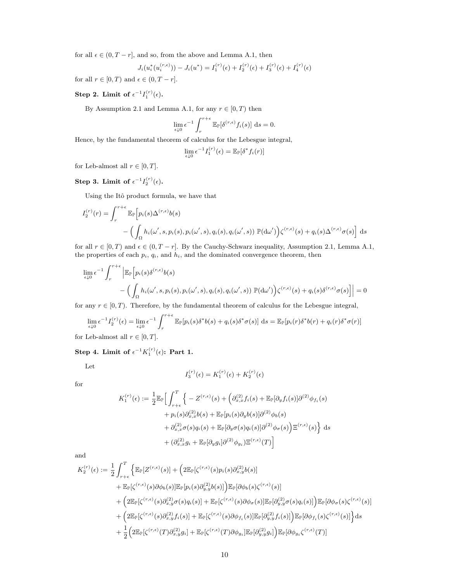for all  $\epsilon \in (0, T - r]$ , and so, from the above and Lemma A.1, then

$$
J_i(u_i^*(u_i^{(r,\epsilon)})) - J_i(u^*) = I_1^{(r)}(\epsilon) + I_2^{(r)}(\epsilon) + I_3^{(r)}(\epsilon) + I_4^{(r)}(\epsilon)
$$

for all  $r \in [0, T)$  and  $\epsilon \in (0, T - r]$ .

### Step 2. Limit of  $\epsilon^{-1} I_1^{(r)}(\epsilon)$ .

By Assumption 2.1 and Lemma A.1, for any  $r \in [0, T)$  then

$$
\lim_{\epsilon \downarrow 0} \epsilon^{-1} \int_r^{r+\epsilon} \mathbb{E}_{\mathbb{P}}[\delta^{(r,\epsilon)} f_i(s)] \, \mathrm{d}s = 0.
$$

Hence, by the fundamental theorem of calculus for the Lebesgue integral,

$$
\lim_{\epsilon \downarrow 0} \epsilon^{-1} I_1^{(r)}(\epsilon) = \mathbb{E}_{\mathbb{P}}[\delta^* f_i(r)]
$$

for Leb-almost all  $r \in [0, T]$ .

Step 3. Limit of  $\epsilon^{-1} I_2^{(r)}(\epsilon)$ .

Using the Itô product formula, we have that

$$
I_2^{(r)}(r) = \int_r^{r+\epsilon} \mathbb{E}_{\mathbb{P}}\Big[p_i(s)\Delta^{(r,\epsilon)}b(s) - \left(\int_{\Omega} h_i(\omega',s,p_i(s),p_i(\omega',s),q_i(s),q_i(\omega',s))\ \mathbb{P}(\mathrm{d}\omega')\right)\zeta^{(r,\epsilon)}(s) + q_i(s)\Delta^{(r,\epsilon)}\sigma(s)\Big] ds
$$

for all  $r \in [0, T)$  and  $\epsilon \in (0, T - r]$ . By the Cauchy-Schwarz inequality, Assumption 2.1, Lemma A.1, the properties of each  $p_i$ ,  $q_i$ , and  $h_i$ , and the dominated convergence theorem, then

$$
\lim_{\epsilon \downarrow 0} \epsilon^{-1} \int_{r}^{r+\epsilon} \left| \mathbb{E}_{\mathbb{P}} \left[ p_i(s) \delta^{(r,\epsilon)} b(s) - \left( \int_{\Omega} h_i(\omega', s, p_i(s), p_i(\omega', s), q_i(s), q_i(\omega', s)) \ \mathbb{P}(\mathrm{d}\omega') \right) \zeta^{(r,\epsilon)}(s) + q_i(s) \delta^{(r,\epsilon)} \sigma(s) \right] \right| = 0
$$

for any  $r \in [0, T)$ . Therefore, by the fundamental theorem of calculus for the Lebesgue integral,

$$
\lim_{\epsilon \downarrow 0} \epsilon^{-1} I_2^{(r)}(\epsilon) = \lim_{\epsilon \downarrow 0} \epsilon^{-1} \int_r^{r+\epsilon} \mathbb{E}_{\mathbb{P}}[p_i(s)\delta^* b(s) + q_i(s)\delta^* \sigma(s)] \, ds = \mathbb{E}_{\mathbb{P}}[p_i(r)\delta^* b(r) + q_i(r)\delta^* \sigma(r)]
$$
\nLeb-almost, all  $r \in [0, T]$ 

for Leb-almost all  $r \in [0, T]$ .

### Step 4. Limit of  $\epsilon^{-1}K_1^{(r)}(\epsilon)$ : Part 1.

Let

$$
I_3^{(r)}(\epsilon) = K_1^{(r)}(\epsilon) + K_2^{(r)}(\epsilon)
$$

for

$$
K_1^{(r)}(\epsilon) := \frac{1}{2} \mathbb{E}_{\mathbb{P}} \Big[ \int_{r+\epsilon}^T \Big\{ -Z^{(r,\epsilon)}(s) + \Big( \partial_{x,x}^{(2)} f_i(s) + \mathbb{E}_{\mathbb{P}}[\partial_y f_i(s)] \partial^{(2)} \phi_{f_i}(s) + p_i(s) \partial_{x,x}^{(2)} b(s) + \mathbb{E}_{\mathbb{P}}[p_i(s) \partial_y b(s)] \partial^{(2)} \phi_b(s) + \partial_{x,x}^{(2)} \sigma(s) q_i(s) + \mathbb{E}_{\mathbb{P}}[\partial_y \sigma(s) q_i(s)] \partial^{(2)} \phi_{\sigma}(s) \Big) \Xi^{(r,\epsilon)}(s) \Big\} ds + \left( \partial_{x,x}^{(2)} g_i + \mathbb{E}_{\mathbb{P}}[\partial_y g_i] \partial^{(2)} \phi_{g_i} \Big) \Xi^{(r,\epsilon)}(T) \Big]
$$

and

$$
K_2^{(r)}(\epsilon) := \frac{1}{2} \int_{r+\epsilon}^T \left\{ \mathbb{E}_{\mathbb{P}}[Z^{(r,\epsilon)}(s)] + \left(2\mathbb{E}_{\mathbb{P}}[\zeta^{(r,\epsilon)}(s)p_i(s)\partial_{x,y}^{(2)}b(s)] \right) \right.+ \mathbb{E}_{\mathbb{P}}[\zeta^{(r,\epsilon)}(s)\partial\phi_b(s)] \mathbb{E}_{\mathbb{P}}[p_i(s)\partial_{y,y}^{(2)}b(s)] \right\} \mathbb{E}_{\mathbb{P}}[\partial\phi_b(s)\zeta^{(r,\epsilon)}(s)]+ \left(2\mathbb{E}_{\mathbb{P}}[\zeta^{(r,\epsilon)}(s)\partial_{x,y}^{(2)}\sigma(s)q_i(s)] + \mathbb{E}_{\mathbb{P}}[\zeta^{(r,\epsilon)}(s)\partial\phi_{\sigma}(s)] \mathbb{E}_{\mathbb{P}}[\partial_{y,y}^{(2)}\sigma(s)q_i(s)] \right) \mathbb{E}_{\mathbb{P}}[\partial\phi_{\sigma}(s)\zeta^{(r,\epsilon)}(s)]+ \left(2\mathbb{E}_{\mathbb{P}}[\zeta^{(r,\epsilon)}(s)\partial_{x,y}^{(2)}f_i(s)] + \mathbb{E}_{\mathbb{P}}[\zeta^{(r,\epsilon)}(s)\partial\phi_{f_i}(s)] \mathbb{E}_{\mathbb{P}}[\partial_{y,y}^{(2)}f_i(s)] \right) \mathbb{E}_{\mathbb{P}}[\partial\phi_{f_i}(s)\zeta^{(r,\epsilon)}(s)] \Big\} ds+ \frac{1}{2} \left(2\mathbb{E}_{\mathbb{P}}[\zeta^{(r,\epsilon)}(T)\partial_{x,y}^{(2}g_i] + \mathbb{E}_{\mathbb{P}}[\zeta^{(r,\epsilon)}(T)\partial\phi_{g_i}] \mathbb{E}_{\mathbb{P}}[\partial_{y,y}^{(2)}g_i] \right) \mathbb{E}_{\mathbb{P}}[\partial\phi_{g_i}\zeta^{(r,\epsilon)}(T)]
$$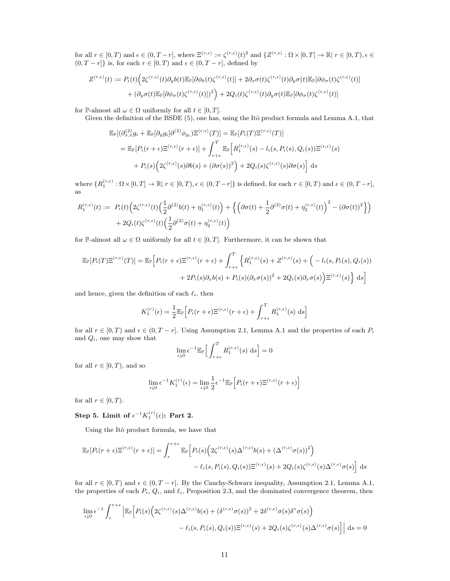for all  $r \in [0,T)$  and  $\epsilon \in (0,T-r]$ , where  $\Xi^{(r,\epsilon)} := \zeta^{(r,\epsilon)}(t)^2$  and  $\{Z^{(r,\epsilon)} : \Omega \times [0,T] \to \mathbb{R} \mid r \in [0,T) \}$ ,  $\epsilon \in$  $(0, T - r]$ } is, for each  $r \in [0, T)$  and  $\epsilon \in (0, T - r]$ , defined by

$$
Z^{(r,\epsilon)}(t) := P_i(t) \Big( 2\zeta^{(r,\epsilon)}(t) \partial_y b(t) \mathbb{E}_{\mathbb{P}}[\partial \phi_b(t) \zeta^{(r,\epsilon)}(t)] + 2 \partial_x \sigma(t) \zeta^{(r,\epsilon)}(t) \partial_y \sigma(t) \mathbb{E}_{\mathbb{P}}[\partial \phi_\sigma(t) \zeta^{(r,\epsilon)}(t)] + (\partial_y \sigma(t) \mathbb{E}_{\mathbb{P}}[\partial \phi_\sigma(t) \zeta^{(r,\epsilon)}(t)])^2 \Big) + 2Q_i(t) \zeta^{(r,\epsilon)}(t) \partial_y \sigma(t) \mathbb{E}_{\mathbb{P}}[\partial \phi_\sigma(t) \zeta^{(r,\epsilon)}(t)]
$$

for P-almost all  $\omega \in \Omega$  uniformly for all  $t \in [0, T]$ .

Given the definition of the BSDE (5), one has, using the Itô product formula and Lemma A.1, that

$$
\mathbb{E}_{\mathbb{P}}[(\partial_{x,x}^{(2)}g_i + \mathbb{E}_{\mathbb{P}}[\partial_y g_i] \partial^{(2)} \phi_{g_i}) \mathbb{E}^{(r,\epsilon)}(T)] = \mathbb{E}_{\mathbb{P}}[P_i(T)\mathbb{E}^{(r,\epsilon)}(T)]
$$
\n
$$
= \mathbb{E}_{\mathbb{P}}[P_i(r+\epsilon)\mathbb{E}^{(r,\epsilon)}(r+\epsilon)] + \int_{r+\epsilon}^T \mathbb{E}_{\mathbb{P}}\Big[R_1^{(r,\epsilon)}(s) - l_i(s, P_i(s), Q_i(s))\mathbb{E}^{(r,\epsilon)}(s) + P_i(s)\Big(2\zeta^{(r,\epsilon)}(s)\partial b(s) + (\partial \sigma(s))^2\Big) + 2Q_i(s)\zeta^{(r,\epsilon)}(s)\partial \sigma(s)\Big] ds
$$

where  $\{R_1^{(r,\epsilon)}:\Omega\times[0,T]\to\mathbb{R}|\ r\in[0,T),\epsilon\in(0,T-r]\}$  is defined, for each  $r\in[0,T)$  and  $\epsilon\in(0,T-r]$ , as

$$
R_1^{(r,\epsilon)}(t) := P_i(t) \Big( 2\zeta^{(r,\epsilon)}(t) \Big( \frac{1}{2} \partial^{(2)} b(t) + \eta_1^{(r,\epsilon)}(t) \Big) + \Big\{ \Big( \partial \sigma(t) + \frac{1}{2} \partial^{(2)} \sigma(t) + \eta_2^{(r,\epsilon)}(t) \Big)^2 - (\partial \sigma(t))^2 \Big\} \Big) + 2Q_i(t) \zeta^{(r,\epsilon)}(t) \Big( \frac{1}{2} \partial^{(2)} \sigma(t) + \eta_2^{(r,\epsilon)}(t) \Big)
$$

for P-almost all  $\omega \in \Omega$  uniformly for all  $t \in [0, T]$ . Furthermore, it can be shown that

$$
\mathbb{E}_{\mathbb{P}}[P_i(T)\Xi^{(r,\epsilon)}(T)] = \mathbb{E}_{\mathbb{P}}\Big[P_i(r+\epsilon)\Xi^{(r,\epsilon)}(r+\epsilon) + \int_{r+\epsilon}^T \Big\{R_1^{(r,\epsilon)}(s) + Z^{(r,\epsilon)}(s) + \Big(-l_i(s, P_i(s), Q_i(s)) + 2P_i(s)\partial_x b(s) + P_i(s)(\partial_x \sigma(s))^2 + 2Q_i(s)\partial_x \sigma(s)\Big)\Xi^{(r,\epsilon)}(s)\Big\} ds\Big]
$$

and hence, given the definition of each  $\ell_i$ , then

$$
K_1^{(r)}(\epsilon) = \frac{1}{2} \mathbb{E}_{\mathbb{P}} \Big[ P_i(r+\epsilon) \Xi^{(r,\epsilon)}(r+\epsilon) + \int_{r+\epsilon}^T R_1^{(r,\epsilon)}(s) \, \mathrm{d}s \Big]
$$

for all  $r \in [0, T)$  and  $\epsilon \in (0, T - r]$ . Using Assumption 2.1, Lemma A.1 and the properties of each  $P_i$ and  $Q_i$ , one may show that

$$
\lim_{\epsilon \downarrow 0} \epsilon^{-1} \mathbb{E}_{\mathbb{P}} \Big[ \int_{r+\epsilon}^T R_1^{(r,\epsilon)}(s) \, \mathrm{d}s \Big] = 0
$$

for all  $r \in [0, T)$ , and so

$$
\lim_{\epsilon \downarrow 0} \epsilon^{-1} K_1^{(r)}(\epsilon) = \lim_{\epsilon \downarrow 0} \frac{1}{2} \epsilon^{-1} \mathbb{E}_{\mathbb{P}} \Big[ P_i(r + \epsilon) \Xi^{(r,\epsilon)}(r + \epsilon) \Big]
$$

for all  $r \in [0, T)$ .

Step 5. Limit of  $\epsilon^{-1}K_1^{(r)}(\epsilon)$ : Part 2.

Using the Itô product formula, we have that

$$
\mathbb{E}_{\mathbb{P}}[P_i(r+\epsilon)\Xi^{(r,\epsilon)}(r+\epsilon)] = \int_r^{r+\epsilon} \mathbb{E}_{\mathbb{P}}\Big[P_i(s)\Big(2\zeta^{(r,\epsilon)}(s)\Delta^{(r,\epsilon)}b(s) + (\Delta^{(r,\epsilon)}\sigma(s))^2\Big) - \ell_i(s,P_i(s),Q_i(s))\Xi^{(r,\epsilon)}(s) + 2Q_i(s)\zeta^{(r,\epsilon)}(s)\Delta^{(r,\epsilon)}\sigma(s)\Big] ds
$$

for all  $r \in [0, T)$  and  $\epsilon \in (0, T - r]$ . By the Cauchy-Schwarz inequality, Assumption 2.1, Lemma A.1, the properties of each  $P_i$ ,  $Q_i$ , and  $\ell_i$ , Proposition 2.3, and the dominated convergence theorem, then

$$
\lim_{\epsilon \downarrow 0} \epsilon^{-1} \int_{r}^{r+\epsilon} \left| \mathbb{E}_{\mathbb{P}} \Big[ P_i(s) \Big( 2\zeta^{(r,\epsilon)}(s) \Delta^{(r,\epsilon)} b(s) + (\delta^{(r,\epsilon)} \sigma(s))^2 + 2\delta^{(r,\epsilon)} \sigma(s) \delta^* \sigma(s) \Big) \right| ds - \ell_i(s, P_i(s), Q_i(s)) \mathbb{E}^{(r,\epsilon)}(s) + 2Q_i(s) \zeta^{(r,\epsilon)}(s) \Delta^{(r,\epsilon)} \sigma(s) \Big] \right| ds = 0
$$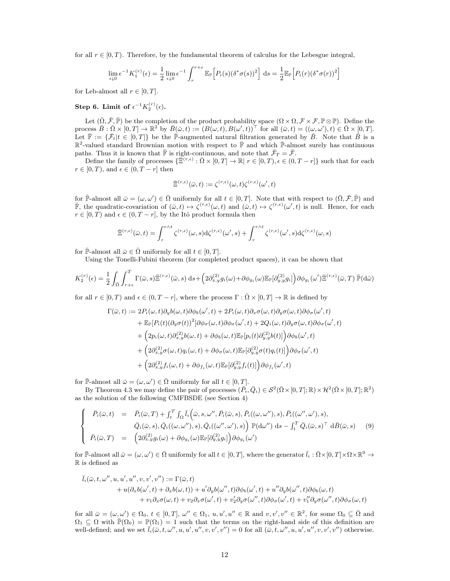for all  $r \in [0, T)$ . Therefore, by the fundamental theorem of calculus for the Lebesgue integral,

$$
\lim_{\epsilon \downarrow 0} \epsilon^{-1} K_1^{(r)}(\epsilon) = \frac{1}{2} \lim_{\epsilon \downarrow 0} \epsilon^{-1} \int_r^{r+\epsilon} \mathbb{E}_{\mathbb{P}} \Big[ P_i(s) (\delta^* \sigma(s))^2 \Big] ds = \frac{1}{2} \mathbb{E}_{\mathbb{P}} \Big[ P_i(r) (\delta^* \sigma(r))^2 \Big]
$$

for Leb-almost all  $r \in [0, T]$ .

### Step 6. Limit of  $\epsilon^{-1}K_2^{(r)}(\epsilon)$ .

Let  $(\overline{\Omega}, \overline{\mathcal{F}}, \overline{\mathbb{P}})$  be the completion of the product probability space  $(\Omega \times \Omega, \mathcal{F} \times \mathcal{F}, \mathbb{P} \otimes \mathbb{P})$ . Define the process  $B : \overline{\Omega} \times [0,T] \to \mathbb{R}^2$  by  $\overline{B}(\overline{\omega},t) := (B(\omega,t), B(\omega',t))^{\top}$  for all  $(\overline{\omega},t) = ((\omega,\omega'),t) \in \overline{\Omega} \times [0,T]$ . Let  $\bar{\mathbb{F}} := {\{\bar{\mathcal{F}}_t | t \in [0,T]\}}$  be the  $\bar{\mathbb{P}}$ -augmented natural filtration generated by  $\bar{B}$ . Note that  $\bar{B}$  is a  $\mathbb{R}^2$ -valued standard Brownian motion with respect to  $\bar{\mathbb{F}}$  and which  $\bar{\mathbb{P}}$ -almost surely has continuous paths. Thus it is known that  $\bar{\mathbb{F}}$  is right-continuous, and note that  $\bar{\mathcal{F}}_T = \bar{\mathcal{F}}$ .

Define the family of processes  $\{\bar{\Xi}^{(r,\epsilon)} : \bar{\Omega} \times [0,T] \to \mathbb{R} \mid r \in [0,T), \epsilon \in (0,T-r] \}$  such that for each  $r \in [0, T)$ , and  $\epsilon \in (0, T - r]$  then

$$
\bar{\Xi}^{(r,\epsilon)}(\bar{\omega},t):=\zeta^{(r,\epsilon)}(\omega,t)\zeta^{(r,\epsilon)}(\omega',t)
$$

for  $\bar{\mathbb{P}}$ -almost all  $\bar{\omega} = (\omega, \omega') \in \bar{\Omega}$  uniformly for all  $t \in [0, T]$ . Note that with respect to  $(\bar{\Omega}, \bar{\mathcal{F}}, \bar{\mathbb{P}})$  and  $\overline{\mathbb{F}}$ , the quadratic-covariation of  $(\overline{\omega}, t) \mapsto \zeta^{(r,\epsilon)}(\omega, t)$  and  $(\overline{\omega}, t) \mapsto \zeta^{(r,\epsilon)}(\omega', t)$  is null. Hence, for each  $r \in [0, T]$  and  $\epsilon \in (0, T - r]$ , by the Itô product formula then

$$
\bar{\Xi}^{(r,\epsilon)}(\bar{\omega},t) = \int_r^{r\wedge t} \zeta^{(r,\epsilon)}(\omega,s) d\zeta^{(r,\epsilon)}(\omega',s) + \int_r^{r\wedge t} \zeta^{(r,\epsilon)}(\omega',s) d\zeta^{(r,\epsilon)}(\omega,s)
$$

for  $\bar{\mathbb{P}}$ -almost all  $\bar{\omega} \in \bar{\Omega}$  uniformly for all  $t \in [0, T]$ .

Using the Tonelli-Fubini theorem (for completed product spaces), it can be shown that

$$
K_2^{(r)}(\epsilon) = \frac{1}{2} \int_{\bar{\Omega}} \int_{r+\epsilon}^T \Gamma(\bar{\omega}, s) \bar{\Xi}^{(r,\epsilon)}(\bar{\omega}, s) \, ds + \left(2 \partial_{x,y}^{(2)} g_i(\omega) + \partial \phi_{g_i}(\omega) \mathbb{E}_{\mathbb{P}}[\partial_{y,y}^{(2)} g_i]\right) \partial \phi_{g_i}(\omega') \bar{\Xi}^{(r,\epsilon)}(\bar{\omega}, T) \, \bar{\mathbb{P}}(\mathrm{d}\bar{\omega})
$$

for all  $r \in [0, T)$  and  $\epsilon \in (0, T - r]$ , where the process  $\Gamma : \overline{\Omega} \times [0, T] \to \mathbb{R}$  is defined by

$$
\Gamma(\bar{\omega},t) := 2P_i(\omega,t)\partial_y b(\omega,t)\partial\phi_b(\omega',t) + 2P_i(\omega,t)\partial_x\sigma(\omega,t)\partial_y\sigma(\omega,t)\partial\phi_\sigma(\omega',t) \n+ \mathbb{E}_{\mathbb{P}}[P_i(t)(\partial_y\sigma(t))^2]\partial\phi_\sigma(\omega,t)\partial\phi_\sigma(\omega',t) + 2Q_i(\omega,t)\partial_y\sigma(\omega,t)\partial\phi_\sigma(\omega',t) \n+ \left(2p_i(\omega,t)\partial_{x,y}^{(2)}b(\omega,t) + \partial\phi_b(\omega,t)\mathbb{E}_{\mathbb{P}}[p_i(t)\partial_{y,y}^{(2)}b(t)]\right)\partial\phi_b(\omega',t) \n+ \left(2\partial_{x,y}^{(2)}\sigma(\omega,t)q_i(\omega,t) + \partial\phi_\sigma(\omega,t)\mathbb{E}_{\mathbb{P}}[\partial_{y,y}^{(2)}\sigma(t)q_i(t)]\right)\partial\phi_\sigma(\omega',t) \n+ \left(2\partial_{x,y}^{(2)}f_i(\omega,t) + \partial\phi_{f_i}(\omega,t)\mathbb{E}_{\mathbb{P}}[\partial_{y,y}^{(2)}f_i(t)]\right)\partial\phi_{f_i}(\omega',t)
$$

for  $\bar{\mathbb{P}}$ -almost all  $\bar{\omega} = (\omega, \omega') \in \bar{\Omega}$  uniformly for all  $t \in [0, T]$ .

By Theorem 4.3 we may define the pair of processes  $(\bar{P}_i, \bar{Q}_i) \in S^2(\bar{\Omega} \times [0,T]; \mathbb{R}) \times \mathcal{H}^2(\bar{\Omega} \times [0,T]; \mathbb{R}^2)$ as the solution of the following CMFBSDE (see Section 4)

$$
\begin{cases}\n\bar{P}_i(\bar{\omega},t) = \bar{P}_i(\bar{\omega},T) + \int_t^T \int_{\Omega} \bar{l}_i(\bar{\omega},s,\omega'',\bar{P}_i(\bar{\omega},s),\bar{P}_i((\omega,\omega''),s),\bar{P}_i((\omega'',\omega'),s), \\
\bar{Q}_i(\bar{\omega},s),\bar{Q}_i((\omega,\omega''),s),\bar{Q}_i((\omega'',\omega'),s))\n\end{cases} \begin{cases}\n\bar{P}_i(\bar{\omega},t) = \bar{P}_i(\bar{\omega},t) \\
\bar{P}_i(\bar{\omega},t) = \bar{P}_i(\bar{\omega},t) \\
\bar{P}_i(\bar{\omega},t) = \frac{1}{2}\frac{\partial \bar{Q}_i(\bar{\omega},t)}{\partial \bar{Q}_i(\bar{\omega})} + \frac{\partial \bar{\phi}_i(\omega)\mathbb{E}_{\mathbb{P}}[\partial \bar{Q}_i(\bar{\omega},t)]}{\partial \bar{\phi}_i(\omega')}\n\end{cases} \tag{9}
$$

for  $\bar{\mathbb{P}}$ -almost all  $\bar{\omega} = (\omega, \omega') \in \bar{\Omega}$  uniformly for all  $t \in [0, T]$ , where the generator  $\bar{l}_i : \bar{\Omega} \times [0, T] \times \Omega \times \mathbb{R}^9 \to$ R is defined as

$$
\bar{l}_{i}(\bar{\omega},t,\omega'',u,u',u'',v,v',v'') := \Gamma(\bar{\omega},t) \n+ u(\partial_{x}b(\omega',t) + \partial_{x}b(\omega,t)) + u'\partial_{y}b(\omega'',t)\partial\phi_{b}(\omega',t) + u''\partial_{y}b(\omega'',t)\partial\phi_{b}(\omega,t) \n+ v_{1}\partial_{x}\sigma(\omega,t) + v_{2}\partial_{x}\sigma(\omega',t) + v'_{2}\partial_{y}\sigma(\omega'',t)\partial\phi_{\sigma}(\omega',t) + v''_{1}\partial_{y}\sigma(\omega'',t)\partial\phi_{\sigma}(\omega,t)
$$

for all  $\bar{\omega} = (\omega, \omega') \in \Omega_0, t \in [0, T], \omega'' \in \Omega_1, u, u', u'' \in \mathbb{R}$  and  $v, v', v'' \in \mathbb{R}^2$ , for some  $\Omega_0 \subseteq \bar{\Omega}$  and  $\Omega_1 \subseteq \Omega$  with  $\bar{\mathbb{P}}(\Omega_0) = \mathbb{P}(\Omega_1) = 1$  such that the terms on the right-hand side of this definition are well-defined; and we set  $\bar{l}_i(\bar{\omega}, t, \omega'', u, u', u'', v, v', v'') = 0$  for all  $(\bar{\omega}, t, \omega'', u, u', u'', v, v', v'')$  otherwise.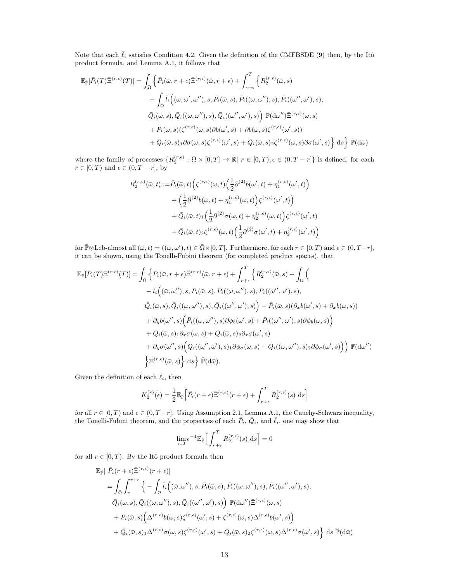Note that each  $\bar{\ell}_i$  satisfies Condition 4.2. Given the definition of the CMFBSDE (9) then, by the Itô product formula, and Lemma A.1, it follows that

$$
\mathbb{E}_{\bar{\mathbb{P}}}[\bar{P}_{i}(T)\bar{\Xi}^{(r,\epsilon)}(T)] = \int_{\bar{\Omega}} \left\{ \bar{P}_{i}(\bar{\omega},r+\epsilon)\bar{\Xi}^{(r,\epsilon)}(\bar{\omega},r+\epsilon) + \int_{r+\epsilon}^{T} \left\{ R_{2}^{(r,\epsilon)}(\bar{\omega},s) - \int_{\Omega} \bar{l}_{i}\left( (\omega,\omega',\omega''),s,\bar{P}_{i}(\bar{\omega},s),\bar{P}_{i}((\omega,\omega''),s),\bar{P}_{i}((\omega'',\omega'),s),\bar{P}_{i}((\omega'',\omega'),s) \right) \right. \right. \\ \left. \left. \bar{Q}_{i}(\bar{\omega},s),\bar{Q}_{i}((\omega,\omega''),s),\bar{Q}_{i}((\omega'',\omega'),s)\right\} \mathbb{P}(\mathrm{d}\omega'')\bar{\Xi}^{(r,\epsilon)}(\bar{\omega},s) \\ \left. + \bar{P}_{i}(\bar{\omega},s)(\zeta^{(r,\epsilon)}(\omega,s)\partial b(\omega',s) + \partial b(\omega,s)\zeta^{(r,\epsilon)}(\omega',s)) \right. \\ \left. + \bar{Q}_{i}(\bar{\omega},s)_{1}\partial\sigma(\omega,s)\zeta^{(r,\epsilon)}(\omega',s) + \bar{Q}_{i}(\bar{\omega},s)_{2}\zeta^{(r,\epsilon)}(\omega,s)\partial\sigma(\omega',s)\right\} \mathrm{d}s \right\} \bar{\mathbb{P}}(\mathrm{d}\bar{\omega})
$$

where the family of processes  $\{R_2^{(r,\epsilon)} : \overline{\Omega} \times [0,T] \to \mathbb{R} \mid r \in [0,T), \epsilon \in (0,T-r] \}$  is defined, for each  $r \in [0, T)$  and  $\epsilon \in (0, T - r]$ , by

$$
R_2^{(r,\epsilon)}(\bar{\omega},t) := \bar{P}_i(\bar{\omega},t) \Big(\zeta^{(r,\epsilon)}(\omega,t) \Big(\frac{1}{2}\partial^{(2)}b(\omega',t) + \eta_1^{(r,\epsilon)}(\omega',t)\Big) + \Big(\frac{1}{2}\partial^{(2)}b(\omega,t) + \eta_1^{(r,\epsilon)}(\omega,t)\Big)\zeta^{(r,\epsilon)}(\omega',t)\Big) + \bar{Q}_i(\bar{\omega},t)_{1}\Big(\frac{1}{2}\partial^{(2)}\sigma(\omega,t) + \eta_2^{(r,\epsilon)}(\omega,t)\Big)\zeta^{(r,\epsilon)}(\omega',t) + \bar{Q}_i(\bar{\omega},t)_{2}\zeta^{(r,\epsilon)}(\omega,t) \Big(\frac{1}{2}\partial^{(2)}\sigma(\omega',t) + \eta_2^{(r,\epsilon)}(\omega',t)\Big)
$$

for  $\overline{\mathbb{P}} \otimes$  Leb-almost all  $(\overline{\omega}, t) = ((\omega, \omega'), t) \in \overline{\Omega} \times [0, T]$ . Furthermore, for each  $r \in [0, T)$  and  $\epsilon \in (0, T-r]$ , it can be shown, using the Tonelli-Fubini theorem (for completed product spaces), that

$$
\mathbb{E}_{\bar{\mathbb{P}}}[\bar{P}_{i}(T)\bar{\Xi}^{(r,\epsilon)}(T)] = \int_{\bar{\Omega}} \left\{ \bar{P}_{i}(\bar{\omega},r+\epsilon)\bar{\Xi}^{(r,\epsilon)}(\bar{\omega},r+\epsilon) + \int_{r+\epsilon}^{T} \left\{ R_{2}^{(r,\epsilon)}(\bar{\omega},s) + \int_{\Omega} \left( \bar{\omega},\bar{\omega}^{(r,\epsilon)}(\bar{\omega},\bar{\omega}^{(r,\epsilon)}(\bar{\omega},s)) + \bar{Q}_{i}(\bar{\omega},\bar{\omega}^{(r,\epsilon)}(\bar{\omega},s),\bar{Q}_{i}(\bar{\omega},s),\bar{Q}_{i}(\bar{\omega},\bar{\omega}),s),\bar{Q}_{i}(\bar{\omega},\bar{\omega},\bar{\omega},\bar{Q}_{i}(\bar{\omega},\bar{\omega}^{(r,\epsilon)}(\bar{\omega}^{(r,\epsilon)}(\bar{\omega}^{(r,\epsilon)}),s)) + \partial_{y}b(\omega'',s)\left(\bar{P}_{i}((\omega,\omega''),s)\partial\phi_{b}(\omega',s) + \bar{P}_{i}(\bar{\omega},s)(\partial_{x}b(\omega',s) + \partial_{x}b(\omega,s))\right) \right. \\
\left. + \bar{Q}_{i}(\bar{\omega},s)_{1}\partial_{x}\sigma(\omega,s) + \bar{Q}_{i}(\bar{\omega},s)_{2}\partial_{x}\sigma(\omega',s) + \bar{P}_{i}((\omega'',\omega'),s)\partial\phi_{b}(\omega,s)\right) \right\} \\
+ \partial_{y}\sigma(\omega'',s)\left(\bar{Q}_{i}((\omega'',\omega'),s)_{1}\partial\phi_{\sigma}(\omega,s) + \bar{Q}_{i}((\omega,\omega''),s)_{2}\partial\phi_{\sigma}(\omega',s)\right)\right)\mathbb{P}(\mathrm{d}\omega'') \\
\left\} \bar{\Xi}^{(r,\epsilon)}(\bar{\omega},s)\right\} \mathrm{d}s\right\} \bar{\mathbb{P}}(\mathrm{d}\bar{\omega}).
$$

Given the definition of each  $\bar{\ell}_i$ , then

$$
K_2^{(r)}(\epsilon) = \frac{1}{2} \mathbb{E}_{\bar{\mathbb{P}}}\Big[ \bar{P}_i(r+\epsilon) \bar{\Xi}^{(r,\epsilon)}(r+\epsilon) + \int_{r+\epsilon}^T R_2^{(r,\epsilon)}(s) \ \mathrm{d}s \Big]
$$

for all  $r \in [0, T)$  and  $\epsilon \in (0, T - r]$ . Using Assumption 2.1, Lemma A.1, the Cauchy-Schwarz inequality, the Tonelli-Fubini theorem, and the properties of each  $\bar{P}_i$ ,  $\bar{Q}_i$ , and  $\bar{\ell}_i$ , one may show that

$$
\lim_{\epsilon\downarrow 0} \epsilon^{-1} \mathbb{E}_{\bar{\mathbb{P}}}\Big[\int_{r+\epsilon}^T R_2^{(r,\epsilon)}(s) \mathrm{~d} s\Big] = 0
$$

for all  $r \in [0, T)$ . By the Itô product formula then

$$
\mathbb{E}_{\bar{\mathbb{P}}}[\bar{P}_i(r+\epsilon)\bar{\Xi}^{(r,\epsilon)}(r+\epsilon)]
$$
\n
$$
=\int_{\bar{\Omega}}\int_r^{r+\epsilon}\left\{-\int_{\Omega}\bar{l}_i\left((\bar{\omega},\omega''),s,\bar{P}_i(\bar{\omega},s),\bar{P}_i((\omega,\omega''),s),\bar{P}_i((\omega'',\omega'),s),\bar{P}_i((\omega'',\omega'),s)\right)\right\}
$$
\n
$$
\bar{Q}_i(\bar{\omega},s),\bar{Q}_i((\omega,\omega''),s),\bar{Q}_i((\omega'',\omega'),s)\right)\mathbb{P}(\mathrm{d}\omega'')\bar{\Xi}^{(r,\epsilon)}(\bar{\omega},s)
$$
\n
$$
+\bar{P}_i(\bar{\omega},s)\Big(\Delta^{(r,\epsilon)}b(\omega,s)\zeta^{(r,\epsilon)}(\omega',s)+\zeta^{(r,\epsilon)}(\omega,s)\Delta^{(r,\epsilon)}b(\omega',s)\Big)
$$
\n
$$
+\bar{Q}_i(\bar{\omega},s)_1\Delta^{(r,\epsilon)}\sigma(\omega,s)\zeta^{(r,\epsilon)}(\omega',s)+\bar{Q}_i(\bar{\omega},s)_2\zeta^{(r,\epsilon)}(\omega,s)\Delta^{(r,\epsilon)}\sigma(\omega',s)\Big\}\,\mathrm{d}s\,\bar{\mathbb{P}}(\mathrm{d}\bar{\omega})
$$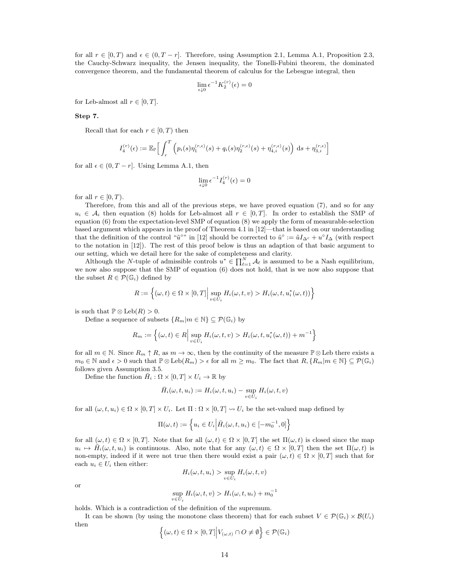for all  $r \in [0, T)$  and  $\epsilon \in (0, T - r]$ . Therefore, using Assumption 2.1, Lemma A.1, Proposition 2.3, the Cauchy-Schwarz inequality, the Jensen inequality, the Tonelli-Fubini theorem, the dominated convergence theorem, and the fundamental theorem of calculus for the Lebesgue integral, then

$$
\lim_{\epsilon \downarrow 0} \epsilon^{-1} K_2^{(r)}(\epsilon) = 0
$$

for Leb-almost all  $r \in [0, T]$ .

#### Step 7.

Recall that for each  $r \in [0, T)$  then

$$
I_4^{(r)}(\epsilon) := \mathbb{E}_{\mathbb{P}} \Big[ \int_r^T \left( p_i(s) \eta_1^{(r,\epsilon)}(s) + q_i(s) \eta_2^{(r,\epsilon)}(s) + \eta_{4,i}^{(r,\epsilon)}(s) \right) ds + \eta_{3,i}^{(r,\epsilon)} \Big]
$$

for all  $\epsilon \in (0, T - r]$ . Using Lemma A.1, then

$$
\lim_{\epsilon \downarrow 0} \epsilon^{-1} I_4^{(r)}(\epsilon) = 0
$$

for all  $r \in [0, T)$ .

Therefore, from this and all of the previous steps, we have proved equation (7), and so for any  $u_i \in A_i$  then equation (8) holds for Leb-almost all  $r \in [0,T]$ . In order to establish the SMP of equation (6) from the expectation-level SMP of equation (8) we apply the form of measurable-selection based argument which appears in the proof of Theorem 4.1 in [12]—that is based on our understanding that the definition of the control " $\tilde{u}^{\circ}$ " in [12] should be corrected to  $\tilde{u}^{\circ} := \tilde{u}I_{\Delta^c} + u^{\circ}I_{\Delta}$  (with respect to the notation in [12]). The rest of this proof below is thus an adaption of that basic argument to our setting, which we detail here for the sake of completeness and clarity.

Although the N-tuple of admissible controls  $u^* \in \prod_{\ell=1}^N \mathcal{A}_\ell$  is assumed to be a Nash equilibrium, we now also suppose that the SMP of equation (6) does not hold, that is we now also suppose that the subset  $R \in \mathcal{P}(\mathbb{G}_i)$  defined by

$$
R := \left\{ (\omega, t) \in \Omega \times [0, T] \Big| \sup_{v \in U_i} H_i(\omega, t, v) > H_i(\omega, t, u_i^*(\omega, t)) \right\}
$$

is such that  $\mathbb{P} \otimes \text{Leb}(R) > 0$ .

Define a sequence of subsets  $\{R_m|m \in \mathbb{N}\}\subseteq \mathcal{P}(\mathbb{G}_i)$  by

$$
R_m := \left\{ (\omega, t) \in R \Big| \sup_{v \in U_i} H_i(\omega, t, v) > H_i(\omega, t, u_i^*(\omega, t)) + m^{-1} \right\}
$$

for all  $m \in \mathbb{N}$ . Since  $R_m \uparrow R$ , as  $m \to \infty$ , then by the continuity of the measure  $\mathbb{P} \otimes$  Leb there exists a  $m_0 \in \mathbb{N}$  and  $\epsilon > 0$  such that  $\mathbb{P} \otimes \text{Leb}(R_m) > \epsilon$  for all  $m \geq m_0$ . The fact that  $R, \{R_m | m \in \mathbb{N}\} \subseteq \mathcal{P}(\mathbb{G}_i)$ follows given Assumption 3.5.

Define the function  $\bar{H}_i : \Omega \times [0,T] \times U_i \to \mathbb{R}$  by

$$
\bar{H}_i(\omega, t, u_i) := H_i(\omega, t, u_i) - \sup_{v \in U_i} H_i(\omega, t, v)
$$

for all  $(\omega, t, u_i) \in \Omega \times [0, T] \times U_i$ . Let  $\Pi : \Omega \times [0, T] \rightarrow U_i$  be the set-valued map defined by

$$
\Pi(\omega, t) := \left\{ u_i \in U_i \middle| \bar{H}_i(\omega, t, u_i) \in [-m_0^{-1}, 0] \right\}
$$

for all  $(\omega, t) \in \Omega \times [0, T]$ . Note that for all  $(\omega, t) \in \Omega \times [0, T]$  the set  $\Pi(\omega, t)$  is closed since the map  $u_i \mapsto \bar{H}_i(\omega, t, u_i)$  is continuous. Also, note that for any  $(\omega, t) \in \Omega \times [0, T]$  then the set  $\Pi(\omega, t)$  is non-empty, indeed if it were not true then there would exist a pair  $(\omega, t) \in \Omega \times [0, T]$  such that for each  $u_i \in U_i$  then either:

$$
H_i(\omega, t, u_i) > \sup_{v \in U_i} H_i(\omega, t, v)
$$

or

$$
\sup_{v \in U_i} H_i(\omega, t, v) > H_i(\omega, t, u_i) + m_0^{-1}
$$

holds. Which is a contradiction of the definition of the supremum.

It can be shown (by using the monotone class theorem) that for each subset  $V \in \mathcal{P}(\mathbb{G}_i) \times \mathcal{B}(U_i)$ then

$$
\left\{(\omega,t)\in\Omega\times[0,T]\Big|V_{(\omega,t)}\cap O\neq\emptyset\right\}\in\mathcal{P}(\mathbb{G}_i)
$$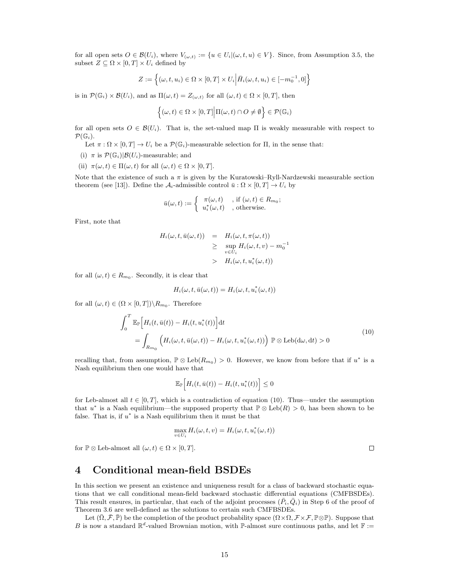for all open sets  $O \in \mathcal{B}(U_i)$ , where  $V_{(\omega,t)} := \{u \in U_i | (\omega, t, u) \in V\}$ . Since, from Assumption 3.5, the subset  $Z \subseteq \Omega \times [0, T] \times U_i$  defined by

$$
Z := \left\{ (\omega, t, u_i) \in \Omega \times [0, T] \times U_i \middle| \bar{H}_i(\omega, t, u_i) \in [-m_0^{-1}, 0] \right\}
$$

is in  $\mathcal{P}(\mathbb{G}_i) \times \mathcal{B}(U_i)$ , and as  $\Pi(\omega, t) = Z_{(\omega, t)}$  for all  $(\omega, t) \in \Omega \times [0, T]$ , then

$$
\left\{(\omega, t) \in \Omega \times [0, T] \middle| \Pi(\omega, t) \cap O \neq \emptyset \right\} \in \mathcal{P}(\mathbb{G}_i)
$$

for all open sets  $O \in \mathcal{B}(U_i)$ . That is, the set-valued map  $\Pi$  is weakly measurable with respect to  $\mathcal{P}(\mathbb{G}_i)$ .

Let  $\pi : \Omega \times [0, T] \to U_i$  be a  $\mathcal{P}(\mathbb{G}_i)$ -measurable selection for  $\Pi$ , in the sense that:

(i)  $\pi$  is  $\mathcal{P}(\mathbb{G}_i)|\mathcal{B}(U_i)$ -measurable; and

(ii)  $\pi(\omega, t) \in \Pi(\omega, t)$  for all  $(\omega, t) \in \Omega \times [0, T]$ .

Note that the existence of such a  $\pi$  is given by the Kuratowski–Ryll-Nardzewski measurable section theorem (see [13]). Define the  $\mathcal{A}_i$ -admissible control  $\bar{u}: \Omega \times [0, T] \to U_i$  by

$$
\bar{u}(\omega, t) := \begin{cases}\n\pi(\omega, t) & , \text{if } (\omega, t) \in R_{m_0}; \\
u_i^*(\omega, t) & , \text{otherwise.}\n\end{cases}
$$

First, note that

$$
H_i(\omega, t, \bar{u}(\omega, t)) = H_i(\omega, t, \pi(\omega, t))
$$
  
\n
$$
\geq \sup_{v \in U_i} H_i(\omega, t, v) - m_0^{-1}
$$
  
\n
$$
H_i(\omega, t, u_i^*(\omega, t))
$$

for all  $(\omega, t) \in R_{m_0}$ . Secondly, it is clear that

$$
H_i(\omega, t, \bar{u}(\omega, t)) = H_i(\omega, t, u_i^*(\omega, t))
$$

for all  $(\omega, t) \in (\Omega \times [0, T]) \backslash R_{m_0}$ . Therefore

$$
\int_0^T \mathbb{E}_{\mathbb{P}}\Big[H_i(t,\bar{u}(t)) - H_i(t,u_i^*(t))\Big]dt
$$
\n
$$
= \int_{R_{m_0}} \Big(H_i(\omega,t,\bar{u}(\omega,t)) - H_i(\omega,t,u_i^*(\omega,t))\Big) \mathbb{P} \otimes \text{Leb}(d\omega,dt) > 0
$$
\n(10)

recalling that, from assumption,  $\mathbb{P} \otimes \text{Leb}(R_{m_0}) > 0$ . However, we know from before that if  $u^*$  is a Nash equilibrium then one would have that

$$
\mathbb{E}_{\mathbb{P}}\Big[H_i(t,\bar{u}(t))-H_i(t,u_i^*(t))\Big]\leq 0
$$

for Leb-almost all  $t \in [0, T]$ , which is a contradiction of equation (10). Thus—under the assumption that u<sup>\*</sup> is a Nash equilibrium—the supposed property that  $P \otimes \text{Leb}(R) > 0$ , has been shown to be false. That is, if  $u^*$  is a Nash equilibrium then it must be that

$$
\max_{v \in U_i} H_i(\omega, t, v) = H_i(\omega, t, u_i^*(\omega, t))
$$

for  $\mathbb{P} \otimes$  Leb-almost all  $(\omega, t) \in \Omega \times [0, T]$ .

## 4 Conditional mean-field BSDEs

In this section we present an existence and uniqueness result for a class of backward stochastic equations that we call conditional mean-field backward stochastic differential equations (CMFBSDEs). This result ensures, in particular, that each of the adjoint processes  $(\bar{P}_i, \bar{Q}_i)$  in Step 6 of the proof of Theorem 3.6 are well-defined as the solutions to certain such CMFBSDEs.

Let  $(\overline{\Omega}, \overline{\mathcal{F}}, \overline{\mathbb{P}})$  be the completion of the product probability space  $(\Omega \times \Omega, \mathcal{F} \times \mathcal{F}, \mathbb{P} \otimes \mathbb{P})$ . Suppose that B is now a standard  $\mathbb{R}^d$ -valued Brownian motion, with P-almost sure continuous paths, and let F :=

 $\Box$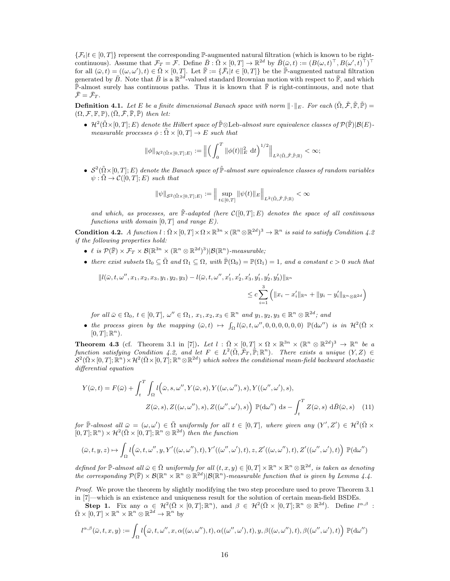$\{\mathcal{F}_t | t \in [0, T]\}$  represent the corresponding P-augmented natural filtration (which is known to be rightcontinuous). Assume that  $\mathcal{F}_T = \mathcal{F}$ . Define  $\bar{B} : \bar{\Omega} \times [0,T] \to \mathbb{R}^{2d}$  by  $\bar{B}(\bar{\omega},t) := (B(\omega,t)^{\top}, B(\omega',t)^{\top})^{\top}$ for all  $(\bar{\omega}, t) = ((\omega, \omega'), t) \in \bar{\Omega} \times [0, T]$ . Let  $\bar{\mathbb{F}} := {\bar{\mathcal{F}}_t | t \in [0, T]}$  be the  $\bar{\mathbb{P}}$ -augmented natural filtration generated by  $\bar{B}$ . Note that  $\bar{B}$  is a  $\mathbb{R}^{2d}$ -valued standard Brownian motion with respect to  $\bar{\mathbb{F}}$ , and which  $\mathbb{\bar{P}}$ -almost surely has continuous paths. Thus it is known that  $\mathbb{\bar{F}}$  is right-continuous, and note that  $\bar{\mathcal{F}} = \bar{\mathcal{F}}_T$ .

**Definition 4.1.** Let E be a finite dimensional Banach space with norm  $\|\cdot\|_E$ . For each  $(\tilde{\Omega}, \tilde{\mathcal{F}}, \tilde{\mathbb{F}}, \tilde{\mathbb{P}})$  =  $(\Omega, \mathcal{F}, \mathbb{F}, \mathbb{P}), (\overline{\Omega}, \overline{\mathcal{F}}, \overline{\mathbb{F}}, \overline{\mathbb{P}})$  then let:

•  $\mathcal{H}^2(\tilde{\Omega} \times [0,T]; E)$  denote the Hilbert space of  $\tilde{\mathbb{P}} \otimes$ Leb-almost sure equivalence classes of  $\mathcal{P}(\tilde{\mathbb{F}})|\mathcal{B}(E)$ measurable processes  $\phi : \tilde{\Omega} \times [0,T] \to E$  such that

$$
\|\phi\|_{\mathcal{H}^2(\tilde{\Omega}\times[0,T];E)} := \Big\| \Big( \int_0^T \|\phi(t)\|_E^2 \, \mathrm{d}t \Big)^{1/2} \Big\|_{L^2(\tilde{\Omega},\tilde{\mathcal{F}},\tilde{\mathbb{P}},\mathbb{R})} < \infty;
$$

•  $S^2(\tilde{\Omega} \times [0,T]; E)$  denote the Banach space of  $\tilde{\mathbb{P}}$ -almost sure equivalence classes of random variables  $\psi : \tilde{\Omega} \to \mathcal{C}([0,T];E)$  such that

$$
\|\psi\|_{\mathcal{S}^2(\tilde{\Omega}\times[0,T];E)}:=\Big\|\sup_{t\in[0,T]}\|\psi(t)\|_E\Big\|_{L^2(\tilde{\Omega},\tilde{\mathcal{F}},\tilde{\mathbb{P}};\mathbb{R})}<\infty
$$

and which, as processes, are  $\mathbb{F}\text{-}adapted$  (here  $\mathcal{C}([0,T];E)$  denotes the space of all continuous functions with domain  $[0, T]$  and range  $E$ ).

**Condition 4.2.** A function  $l : \overline{\Omega} \times [0,T] \times \Omega \times \mathbb{R}^{3n} \times (\mathbb{R}^n \otimes \mathbb{R}^{2d})^3 \to \mathbb{R}^n$  is said to satisfy Condition 4.2 if the following properties hold:

- $\ell$  is  $\mathcal{P}(\overline{\mathbb{F}}) \times \mathcal{F}_T \times \mathcal{B}(\mathbb{R}^{3n} \times (\mathbb{R}^n \otimes \mathbb{R}^{2d})^3)|\mathcal{B}(\mathbb{R}^n)$ -measurable;
- there exist subsets  $\Omega_0 \subseteq \overline{\Omega}$  and  $\Omega_1 \subseteq \Omega$ , with  $\overline{\mathbb{P}}(\Omega_0) = \mathbb{P}(\Omega_1) = 1$ , and a constant  $c > 0$  such that

$$
||l(\bar{\omega}, t, \omega'', x_1, x_2, x_3, y_1, y_2, y_3) - l(\bar{\omega}, t, \omega'', x_1', x_2', x_3', y_1', y_2', y_3')||_{\mathbb{R}^n}
$$
  

$$
\leq c \sum_{i=1}^3 \left( ||x_i - x_i'||_{\mathbb{R}^n} + ||y_i - y_i'||_{\mathbb{R}^n \otimes \mathbb{R}^{2d}} \right)
$$

for all  $\bar{\omega} \in \Omega_0$ ,  $t \in [0, T]$ ,  $\omega'' \in \Omega_1$ ,  $x_1, x_2, x_3 \in \mathbb{R}^n$  and  $y_1, y_2, y_3 \in \mathbb{R}^n \otimes \mathbb{R}^{2d}$ ; and

• the process given by the mapping  $(\bar{\omega}, t) \rightarrow \int_{\Omega} l(\bar{\omega}, t, \omega'', 0, 0, 0, 0, 0, 0) \mathbb{P}(\mathrm{d}\omega'')$  is in  $\mathcal{H}^2(\bar{\Omega} \times$  $[0, T]; \mathbb{R}^n$ .

**Theorem 4.3** (cf. Theorem 3.1 in [7]). Let  $l : \overline{\Omega} \times [0,T] \times \Omega \times \mathbb{R}^{3n} \times (\mathbb{R}^n \otimes \mathbb{R}^{2d})^3 \to \mathbb{R}^n$  be a function satisfying Condition 4.2, and let  $F \in L^2(\overline{\Omega}, \overline{\mathcal{F}}_T, \overline{\mathbb{P}}; \mathbb{R}^n)$ . There exists a unique  $(Y, Z) \in$  $\mathcal{S}^2(\bar{\Omega}\times[0,T];\mathbb{R}^n)\times\mathcal{H}^2(\bar{\Omega}\times[0,T];\mathbb{R}^n\otimes\mathbb{R}^{2d})$  which solves the conditional mean-field backward stochastic differential equation

$$
Y(\bar{\omega},t) = F(\bar{\omega}) + \int_t^T \int_{\Omega} l(\bar{\omega},s,\omega'',Y(\bar{\omega},s),Y((\omega,\omega''),s),Y((\omega'',\omega'),s),
$$

$$
Z(\bar{\omega},s),Z((\omega,\omega''),s),Z((\omega'',\omega'),s)) \mathbb{P}(\mathrm{d}\omega'') \mathrm{d}s - \int_t^T Z(\bar{\omega},s) \mathrm{d}\bar{B}(\bar{\omega},s) \quad (11)
$$

for  $\bar{\mathbb{P}}$ -almost all  $\bar{\omega} = (\omega, \omega') \in \bar{\Omega}$  uniformly for all  $t \in [0, T]$ , where given any  $(Y', Z') \in \mathcal{H}^2(\bar{\Omega} \times$  $[0,T];\mathbb{R}^n$   $\times$   $\mathcal{H}^2(\bar{\Omega} \times [0,T];\mathbb{R}^n \otimes \mathbb{R}^{2d})$  then the function

$$
(\bar \omega,t,y,z) \mapsto \int_\Omega l\Big(\bar \omega,t,\omega'',y,Y'((\omega,\omega''),t),Y'((\omega'',\omega'),t),z,Z'((\omega,\omega''),t),Z'((\omega'',\omega'),t)\Big)~\mathbb{P}(\mathrm{d}\omega'')
$$

defined for  $\overline{\mathbb{P}}$ -almost all  $\overline{\omega} \in \overline{\Omega}$  uniformly for all  $(t, x, y) \in [0, T] \times \mathbb{R}^n \times \mathbb{R}^n \otimes \mathbb{R}^{2d}$ , is taken as denoting the corresponding  $\mathcal{P}(\bar{\mathbb{F}}) \times \mathcal{B}(\mathbb{R}^n \times \mathbb{R}^n \otimes \mathbb{R}^{2d})|\mathcal{B}(\mathbb{R}^n)$ -measurable function that is given by Lemma 4.4.

Proof. We prove the theorem by slightly modifying the two step procedure used to prove Theorem 3.1 in [7]—which is an existence and uniqueness result for the solution of certain mean-field BSDEs.

Step 1. Fix any  $\alpha \in \mathcal{H}^2(\bar{\Omega} \times [0,T]; \mathbb{R}^n)$ , and  $\beta \in \mathcal{H}^2(\bar{\Omega} \times [0,T]; \mathbb{R}^n \otimes \mathbb{R}^{2d})$ . Define  $l^{\alpha,\beta}$ :  $\overline{\Omega} \times [0, T] \times \mathbb{R}^n \times \mathbb{R}^n \otimes \mathbb{R}^{2d} \to \mathbb{R}^n$  by

$$
l^{\alpha,\beta}(\bar\omega,t,x,y):=\int_\Omega l\Big(\bar\omega,t,\omega^{\prime\prime},x,\alpha((\omega,\omega^{\prime\prime}),t),\alpha((\omega^{\prime\prime},\omega^\prime),t),y,\beta((\omega,\omega^{\prime\prime}),t),\beta((\omega^{\prime\prime},\omega^\prime),t)\Big)\;{\mathbb P}({\rm d}\omega^{\prime\prime})
$$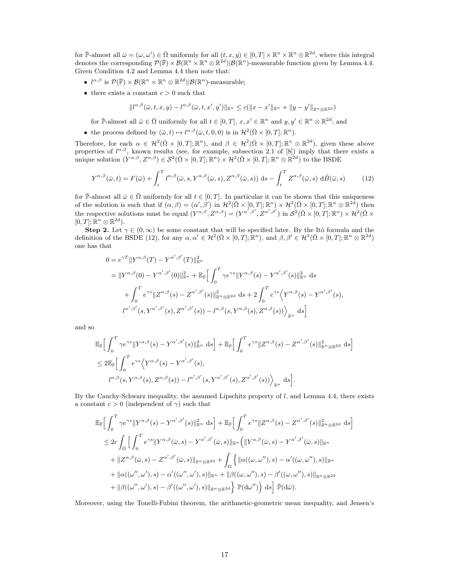for  $\bar{\mathbb{P}}$ -almost all  $\bar{\omega} = (\omega, \omega') \in \bar{\Omega}$  uniformly for all  $(t, x, y) \in [0, T] \times \mathbb{R}^n \times \mathbb{R}^n \otimes \mathbb{R}^{2d}$ , where this integral denotes the corresponding  $\mathcal{P}(\mathbb{F}) \times \mathcal{B}(\mathbb{R}^n \times \mathbb{R}^n \otimes \mathbb{R}^{2d}) | \mathcal{B}(\mathbb{R}^n)$ -measurable function given by Lemma 4.4. Given Condition 4.2 and Lemma 4.4 then note that:

- $l^{\alpha,\beta}$  is  $\mathcal{P}(\overline{\mathbb{F}}) \times \mathcal{B}(\mathbb{R}^n \times \mathbb{R}^n \otimes \mathbb{R}^{2d})|\mathcal{B}(\mathbb{R}^n)$ -measurable;
- there exists a constant  $c > 0$  such that

$$
||l^{\alpha,\beta}(\bar \omega,t,x,y)-l^{\alpha,\beta}(\bar \omega,t,x',y')||_{\mathbb{R}^n}\leq c(||x-x'||_{\mathbb{R}^n}+||y-y'||_{\mathbb{R}^n\otimes\mathbb{R}^{2d}})
$$

for  $\bar{\mathbb{P}}$ -almost all  $\bar{\omega} \in \bar{\Omega}$  uniformly for all  $t \in [0, T]$ ,  $x, x' \in \mathbb{R}^n$  and  $y, y' \in \mathbb{R}^n \otimes \mathbb{R}^{2d}$ ; and

• the process defined by  $(\bar{\omega}, t) \mapsto l^{\alpha, \beta}(\bar{\omega}, t, 0, 0)$  is in  $\mathcal{H}^2(\bar{\Omega} \times [0, T]; \mathbb{R}^n)$ .

Therefore, for each  $\alpha \in \mathcal{H}^2(\bar{\Omega} \times [0,T]; \mathbb{R}^n)$ , and  $\beta \in \mathcal{H}^2(\bar{\Omega} \times [0,T]; \mathbb{R}^n \otimes \mathbb{R}^{2d})$ , given these above properties of  $l^{\alpha,\beta}$ , known results (see, for example, subsection 2.1 of [8]) imply that there exists a unique solution  $(Y^{\alpha,\beta}, Z^{\alpha,\beta}) \in \mathcal{S}^2(\overline{\Omega} \times [0,T]; \mathbb{R}^n) \times \mathcal{H}^2(\overline{\Omega} \times [0,T]; \mathbb{R}^n \otimes \mathbb{R}^{2d})$  to the BSDE

$$
Y^{\alpha,\beta}(\bar{\omega},t) = F(\bar{\omega}) + \int_{t}^{T} l^{\alpha,\beta}(\bar{\omega},s,Y^{\alpha,\beta}(\bar{\omega},s),Z^{\alpha,\beta}(\bar{\omega},s)) \,ds - \int_{t}^{T} Z^{\alpha,\beta}(\bar{\omega},s) \,d\bar{B}(\bar{\omega},s) \tag{12}
$$

for  $\mathbb{P}$ -almost all  $\bar{\omega} \in \bar{\Omega}$  uniformly for all  $t \in [0, T]$ . In particular it can be shown that this uniqueness of the solution is such that if  $(\alpha, \beta) = (\alpha', \beta')$  in  $\mathcal{H}^2(\overline{\Omega} \times [0,T]; \mathbb{R}^n) \times \mathcal{H}^2(\overline{\Omega} \times [0,T]; \mathbb{R}^n \otimes \mathbb{R}^{2d})$  then the respective solutions must be equal  $(Y^{\alpha,\beta}, Z^{\alpha,\beta}) = (Y^{\alpha',\beta'}, Z^{\alpha',\beta'})$  in  $\mathcal{S}^2(\bar{\Omega} \times [0,T]; \mathbb{R}^n) \times \mathcal{H}^2(\bar{\Omega} \times [0,T]; \mathbb{R}^n)$  $[0, T]; \mathbb{R}^n \otimes \mathbb{R}^{2d}$ .

**Step 2.** Let  $\gamma \in (0, \infty)$  be some constant that will be specified later. By the Itô formula and the definition of the BSDE (12), for any  $\alpha, \alpha' \in \mathcal{H}^2(\bar{\Omega} \times [0,T]; \mathbb{R}^n)$ , and  $\beta, \beta' \in \mathcal{H}^2(\bar{\Omega} \times [0,T]; \mathbb{R}^n \otimes \mathbb{R}^{2d})$ one has that

$$
0 = e^{\gamma T} ||Y^{\alpha,\beta}(T) - Y^{\alpha',\beta'}(T)||_{\mathbb{R}^n}^2
$$
  
\n
$$
= ||Y^{\alpha,\beta}(0) - Y^{\alpha',\beta'}(0)||_{\mathbb{R}^n}^2 + \mathbb{E}_{\bar{\mathbb{P}}}\Big[\int_0^T \gamma e^{\gamma s} ||Y^{\alpha,\beta}(s) - Y^{\alpha',\beta'}(s)||_{\mathbb{R}^n}^2 ds
$$
  
\n
$$
+ \int_0^T e^{\gamma s} ||Z^{\alpha,\beta}(s) - Z^{\alpha',\beta'}(s)||_{\mathbb{R}^n \otimes \mathbb{R}^{2d}}^2 ds + 2 \int_0^T e^{\gamma s} \langle Y^{\alpha,\beta}(s) - Y^{\alpha',\beta'}(s),
$$
  
\n
$$
l^{\alpha',\beta'}(s, Y^{\alpha',\beta'}(s), Z^{\alpha',\beta'}(s)) - l^{\alpha,\beta}(s, Y^{\alpha,\beta}(s), Z^{\alpha,\beta}(s)) \rangle_{\mathbb{R}^n} ds\Big]
$$

and so

$$
\mathbb{E}_{\bar{\mathbb{P}}}\Big[\int_0^T \gamma e^{\gamma s} \|Y^{\alpha,\beta}(s) - Y^{\alpha',\beta'}(s)\|_{\mathbb{R}^n}^2 ds\Big] + \mathbb{E}_{\bar{\mathbb{P}}}\Big[\int_0^T e^{\gamma s} \|Z^{\alpha,\beta}(s) - Z^{\alpha',\beta'}(s)\|_{\mathbb{R}^n \otimes \mathbb{R}^{2d}}^2 ds\Big]
$$
  
\n
$$
\leq 2 \mathbb{E}_{\bar{\mathbb{P}}}\Big[\int_0^T e^{\gamma s} \Big\langle Y^{\alpha,\beta}(s) - Y^{\alpha',\beta'}(s),
$$
  
\n
$$
l^{\alpha,\beta}(s, Y^{\alpha,\beta}(s), Z^{\alpha,\beta}(s)) - l^{\alpha',\beta'}(s, Y^{\alpha',\beta'}(s), Z^{\alpha',\beta'}(s))\Big\rangle_{\mathbb{R}^n} ds\Big].
$$

By the Cauchy-Schwarz inequality, the assumed Lipschitz property of l, and Lemma 4.4, there exists a constant  $c > 0$  (independent of  $\gamma$ ) such that

$$
\mathbb{E}_{\mathbb{P}}\Big[\int_{0}^{T}\gamma e^{\gamma s}\|Y^{\alpha,\beta}(s)-Y^{\alpha',\beta'}(s)\|_{\mathbb{R}^{n}}^{2}ds\Big]+\mathbb{E}_{\mathbb{P}}\Big[\int_{0}^{T}e^{\gamma s}\|Z^{\alpha,\beta}(s)-Z^{\alpha',\beta'}(s)\|_{\mathbb{R}^{n}\otimes\mathbb{R}^{2d}}^{2}ds\Big]
$$
  
\n
$$
\leq 2c\int_{\bar{\Omega}}\Big[\int_{0}^{T}e^{\gamma s}\|Y^{\alpha,\beta}(\bar{\omega},s)-Y^{\alpha',\beta'}(\bar{\omega},s)\|_{\mathbb{R}^{n}}\Big(\|Y^{\alpha,\beta}(\bar{\omega},s)-Y^{\alpha',\beta'}(\bar{\omega},s)\|_{\mathbb{R}^{n}}\Big)
$$
  
\n
$$
+\|Z^{\alpha,\beta}(\bar{\omega},s)-Z^{\alpha',\beta'}(\bar{\omega},s)\|_{\mathbb{R}^{n}\otimes\mathbb{R}^{2d}}+\int_{\Omega}\Big\{\|\alpha((\omega,\omega''),s)-\alpha'((\omega,\omega''),s)\|_{\mathbb{R}^{n}}\Big\}
$$
  
\n
$$
+\|\alpha((\omega'',\omega'),s)-\alpha'((\omega'',\omega'),s)\|_{\mathbb{R}^{n}}+\|\beta((\omega,\omega''),s)-\beta'((\omega,\omega''),s)\|_{\mathbb{R}^{n}\otimes\mathbb{R}^{2d}}\Big\}
$$
  
\n
$$
+\|\beta((\omega'',\omega'),s)-\beta'((\omega'',\omega'),s)\|_{\mathbb{R}^{n}\otimes\mathbb{R}^{2d}}\Big\}\mathbb{P}(\mathrm{d}\omega'')\Big)\,\mathrm{d}s\Big]\,\mathbb{P}(\mathrm{d}\bar{\omega}).
$$

Moreover, using the Tonelli-Fubini theorem, the arithmetic-geometric mean inequality, and Jensen's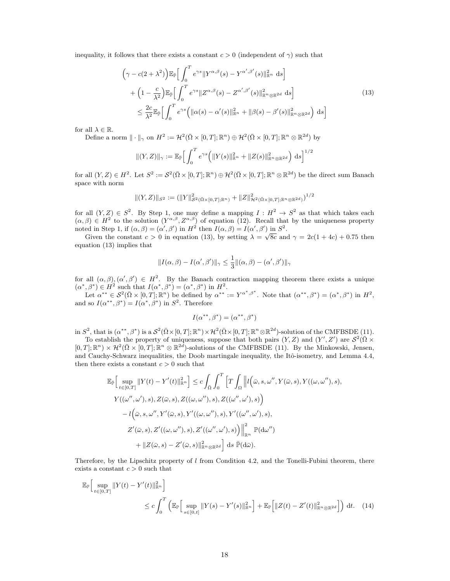inequality, it follows that there exists a constant  $c > 0$  (independent of  $\gamma$ ) such that

$$
\left(\gamma - c(2+\lambda^2)\right) \mathbb{E}_{\mathbb{P}}\Big[\int_0^T e^{\gamma s} \|Y^{\alpha,\beta}(s) - Y^{\alpha',\beta'}(s)\|_{\mathbb{R}^n}^2 ds\Big] + \left(1 - \frac{c}{\lambda^2}\right) \mathbb{E}_{\mathbb{P}}\Big[\int_0^T e^{\gamma s} \|Z^{\alpha,\beta}(s) - Z^{\alpha',\beta'}(s)\|_{\mathbb{R}^n \otimes \mathbb{R}^{2d}}^2 ds\Big] \leq \frac{2c}{\lambda^2} \mathbb{E}_{\mathbb{P}}\Big[\int_0^T e^{\gamma s} \Big(\|\alpha(s) - \alpha'(s)\|_{\mathbb{R}^n}^2 + \|\beta(s) - \beta'(s)\|_{\mathbb{R}^n \otimes \mathbb{R}^{2d}}^2\Big) ds\Big]
$$
\n(13)

for all  $\lambda \in \mathbb{R}$ .

Define a norm  $\|\cdot\|_{\gamma}$  on  $H^2 := \mathcal{H}^2(\bar{\Omega} \times [0,T]; \mathbb{R}^n) \oplus \mathcal{H}^2(\bar{\Omega} \times [0,T]; \mathbb{R}^n \otimes \mathbb{R}^{2d})$  by

$$
\|(Y,Z)\|_{\gamma} := \mathbb{E}_{\bar{\mathbb{P}}}\Big[\int_0^T e^{\gamma s} \Big(\|Y(s)\|_{\mathbb{R}^n}^2 + \|Z(s)\|_{\mathbb{R}^n\otimes\mathbb{R}^{2d}}^2\Big) \,\mathrm{d}s\Big]^{1/2}
$$

for all  $(Y, Z) \in H^2$ . Let  $S^2 := \mathcal{S}^2(\bar{\Omega} \times [0, T]; \mathbb{R}^n) \oplus \mathcal{H}^2(\bar{\Omega} \times [0, T]; \mathbb{R}^n \otimes \mathbb{R}^{2d})$  be the direct sum Banach space with norm

$$
\|(Y,Z)\|_{S^2} := (\|Y\|_{S^2(\bar{\Omega} \times [0,T]; \mathbb{R}^n)}^2 + \|Z\|_{\mathcal{H}^2(\bar{\Omega} \times [0,T]; \mathbb{R}^n \otimes \mathbb{R}^{2d})}^2)^{1/2}
$$

for all  $(Y, Z) \in S^2$ . By Step 1, one may define a mapping  $I : H^2 \to S^2$  as that which takes each  $(\alpha, \beta) \in H^2$  to the solution  $(Y^{\alpha, \beta}, Z^{\alpha, \beta})$  of equation (12). Recall that by the uniqueness property noted in Step 1, if  $(\alpha, \beta) = (\alpha', \beta')$  in  $H^2$  then  $I(\alpha, \beta) = I(\alpha', \beta')$  in  $S^2$ .

Given the constant  $c > 0$  in equation (13), by setting  $\lambda = \sqrt{8c}$  and  $\gamma = 2c(1+4c) + 0.75$  then equation (13) implies that

$$
||I(\alpha, \beta) - I(\alpha', \beta')||_{\gamma} \le \frac{1}{3} ||(\alpha, \beta) - (\alpha', \beta')||_{\gamma}
$$

for all  $(\alpha, \beta), (\alpha', \beta') \in H^2$ . By the Banach contraction mapping theorem there exists a unique  $(\alpha^*, \beta^*) \in H^2$  such that  $I(\alpha^*, \beta^*) = (\alpha^*, \beta^*)$  in  $H^2$ .

Let  $\alpha^{**} \in \mathcal{S}^2(\bar{\Omega} \times [0,T]; \mathbb{R}^n)$  be defined by  $\alpha^{**} := Y^{\alpha^*, \beta^*}$ . Note that  $(\alpha^{**}, \beta^*) = (\alpha^*, \beta^*)$  in  $H^2$ , and so  $I(\alpha^{**}, \beta^*) = I(\alpha^*, \beta^*)$  in  $S^2$ . Therefore

$$
I(\alpha^{**},\beta^*)=(\alpha^{**},\beta^*)
$$

in  $S^2$ , that is  $(\alpha^{**}, \beta^*)$  is a  $\mathcal{S}^2(\bar{\Omega} \times [0,T]; \mathbb{R}^n) \times \mathcal{H}^2(\bar{\Omega} \times [0,T]; \mathbb{R}^n \otimes \mathbb{R}^{2d})$ -solution of the CMFBSDE (11).

To establish the property of uniqueness, suppose that both pairs  $(Y, Z)$  and  $(Y', Z')$  are  $S^2(\overline{\Omega} \times$  $[0,T];\mathbb{R}^n\times\mathcal{H}^2(\bar{\Omega}\times[0,T];\mathbb{R}^n\otimes\mathbb{R}^{2\bar{d}})$ -solutions of the CMFBSDE (11). By the Minkowski, Jensen, and Cauchy-Schwarz inequalities, the Doob martingale inequality, the Itô-isometry, and Lemma 4.4, then there exists a constant  $c > 0$  such that

$$
\mathbb{E}_{\mathbb{P}}\Big[\sup_{t\in[0,T]}\|Y(t)-Y'(t)\|_{\mathbb{R}^n}^2\Big]\leq c\int_{\bar{\Omega}}\int_0^T\Big[T\int_{\Omega}\Big\|l(\bar{\omega},s,\omega'',Y(\bar{\omega},s),Y((\omega,\omega''),s),\nY((\omega'',\omega'),s),Z(\bar{\omega},s),Z((\omega,\omega''),s),Z((\omega'',\omega'),s)\Big)\n-l(\bar{\omega},s,\omega'',Y'(\bar{\omega},s),Y'((\omega,\omega''),s),Y'((\omega'',\omega'),s),\nZ'(\bar{\omega},s),Z'((\omega,\omega''),s),Z'((\omega'',\omega'),s)\Big)\Big\|_{\mathbb{R}^n}^2\mathbb{P}(\mathrm{d}\omega'')\n+\|Z(\bar{\omega},s)-Z'(\bar{\omega},s)\|_{\mathbb{R}^n\otimes\mathbb{R}^{2d}}^2\Big]\mathrm{d}s\ \mathbb{P}(\mathrm{d}\bar{\omega}).
$$

Therefore, by the Lipschitz property of  $l$  from Condition 4.2, and the Tonelli-Fubini theorem, there exists a constant  $c > 0$  such that

$$
\mathbb{E}_{\mathbb{P}}\Big[\sup_{t\in[0,T]} \|Y(t) - Y'(t)\|_{\mathbb{R}^n}^2\Big] \leq c \int_0^T \left(\mathbb{E}_{\mathbb{P}}\Big[\sup_{s\in[0,t]} \|Y(s) - Y'(s)\|_{\mathbb{R}^n}^2\Big] + \mathbb{E}_{\mathbb{P}}\Big[\|Z(t) - Z'(t)\|_{\mathbb{R}^n\otimes\mathbb{R}^{2d}}^2\Big]\right) dt. \tag{14}
$$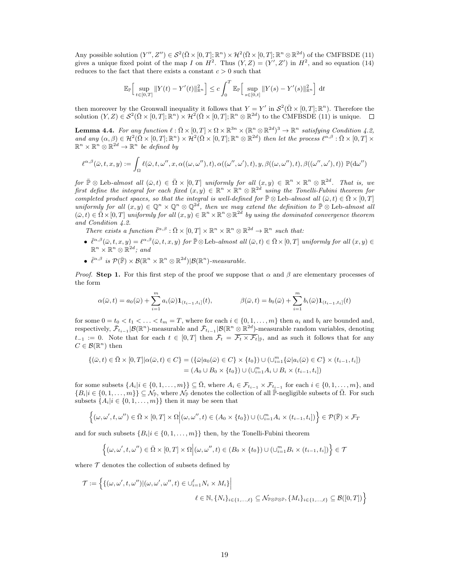Any possible solution  $(Y'', Z'') \in \mathcal{S}^2(\bar{\Omega} \times [0,T]; \mathbb{R}^n) \times \mathcal{H}^2(\bar{\Omega} \times [0,T]; \mathbb{R}^n \otimes \mathbb{R}^{2d})$  of the CMFBSDE (11) gives a unique fixed point of the map I on  $H^2$ . Thus  $(Y, Z) = (Y', Z')$  in  $H^2$ , and so equation (14) reduces to the fact that there exists a constant  $c > 0$  such that

$$
\mathbb{E}_{\mathbb{P}}\Big[\sup_{t\in[0,T]}\|Y(t)-Y'(t)\|_{\mathbb{R}^n}^2\Big]\leq c\int_0^T\mathbb{E}_{\mathbb{P}}\Big[\sup_{s\in[0,t]}\|Y(s)-Y'(s)\|_{\mathbb{R}^n}^2\Big]\,\mathrm{d} t
$$

then moreover by the Gronwall inequality it follows that  $Y = Y'$  in  $\mathcal{S}^2(\bar{\Omega} \times [0,T]; \mathbb{R}^n)$ . Therefore the solution  $(Y, Z) \in \mathcal{S}^2(\bar{\Omega} \times [0,T]; \mathbb{R}^n) \times \mathcal{H}^2(\bar{\Omega} \times [0,T]; \mathbb{R}^n \otimes \mathbb{R}^{2d})$  to the CMFBSDE (11) is unique.

**Lemma 4.4.** For any function  $\ell : \overline{\Omega} \times [0,T] \times \Omega \times \mathbb{R}^{3n} \times (\mathbb{R}^n \otimes \mathbb{R}^{2d})^3 \to \mathbb{R}^n$  satisfying Condition 4.2, and any  $(\alpha, \beta) \in \mathcal{H}^2(\overline{\Omega} \times [0,T]; \mathbb{R}^n) \times \mathcal{H}^2(\overline{\Omega} \times [0,T]; \mathbb{R}^n \otimes \mathbb{R}^{2d})$  then let the process  $\ell^{\alpha, \beta} : \overline{\Omega} \times [0,T] \times$  $\mathbb{R}^n \times \mathbb{R}^n \otimes \mathbb{R}^{2d} \to \mathbb{R}^n$  be defined by

$$
\ell^{\alpha,\beta}(\bar{\omega},t,x,y) := \int_{\Omega} \ell(\bar{\omega},t,\omega'',x,\alpha((\omega,\omega''),t),\alpha((\omega'',\omega'),t),y,\beta((\omega,\omega''),t),\beta((\omega'',\omega'),t)) \; \mathbb{P}(\mathrm{d}\omega'')
$$

for  $\overline{\mathbb{P}} \otimes$  Leb-almost all  $(\overline{\omega}, t) \in \overline{\Omega} \times [0, T]$  uniformly for all  $(x, y) \in \mathbb{R}^n \times \mathbb{R}^n \otimes \mathbb{R}^{2d}$ . That is, we first define the integral for each fixed  $(x, y) \in \mathbb{R}^n \times \mathbb{R}^n \otimes \mathbb{R}^{2d}$  using the Tonelli-Fubini theorem for completed product spaces, so that the integral is well-defined for  $\mathbb{P} \otimes$  Leb-almost all  $(\bar{\omega}, t) \in \bar{\Omega} \times [0, T]$ uniformly for all  $(x, y) \in \mathbb{Q}^n \times \mathbb{Q}^n \otimes \mathbb{Q}^{2d}$ , then we may extend the definition to  $\mathbb{P} \otimes$  Leb-almost all  $(\bar{\omega}, t) \in \bar{\Omega} \times [0, T]$  uniformly for all  $(x, y) \in \mathbb{R}^n \times \mathbb{R}^n \otimes \mathbb{R}^{2d}$  by using the dominated convergence theorem and Condition 4.2.

There exists a function  $\bar{\ell}^{\alpha,\beta} : \bar{\Omega} \times [0,T] \times \mathbb{R}^n \times \mathbb{R}^n \otimes \mathbb{R}^{2d} \to \mathbb{R}^n$  such that:

- $\bullet \ \bar{\ell}^{\alpha,\beta}(\bar{\omega},t,x,y) = \ell^{\alpha,\beta}(\bar{\omega},t,x,y)$  for  $\bar{\mathbb{P}} \otimes$  Leb-almost all  $(\bar{\omega},t) \in \bar{\Omega} \times [0,T]$  uniformly for all  $(x,y) \in$  $\mathbb{R}^n \times \mathbb{R}^n \otimes \mathbb{R}^{2d}$ ; and
- $\bar{\ell}^{\alpha,\beta}$  is  $\mathcal{P}(\bar{\mathbb{F}}) \times \mathcal{B}(\mathbb{R}^n \times \mathbb{R}^n \otimes \mathbb{R}^{2d})|\mathcal{B}(\mathbb{R}^n)$ -measurable.

*Proof.* Step 1. For this first step of the proof we suppose that  $\alpha$  and  $\beta$  are elementary processes of the form

$$
\alpha(\bar{\omega},t) = a_0(\bar{\omega}) + \sum_{i=1}^m a_i(\bar{\omega}) \mathbf{1}_{(t_{i-1},t_i]}(t), \qquad \beta(\bar{\omega},t) = b_0(\bar{\omega}) + \sum_{i=1}^m b_i(\bar{\omega}) \mathbf{1}_{(t_{i-1},t_i]}(t)
$$

for some  $0 = t_0 < t_1 < \ldots < t_m = T$ , where for each  $i \in \{0, 1, \ldots, m\}$  then  $a_i$  and  $b_i$  are bounded and, respectively,  $\bar{\mathcal{F}}_{t_{i-1}}|\mathcal{B}(\mathbb{R}^n)$ -measurable and  $\bar{\mathcal{F}}_{t_{i-1}}|\mathcal{B}(\mathbb{R}^n \otimes \mathbb{R}^{2d})$ -measurable random variables, denoting  $t_{-1} := 0$ . Note that for each  $t \in [0,T]$  then  $\overline{\mathcal{F}}_t = \overline{\mathcal{F}_t \times \mathcal{F}_t}|_{\overline{p}},$  and as such it follows that for any  $C \in \mathcal{B}(\mathbb{R}^n)$  then

$$
\{(\bar{\omega},t) \in \bar{\Omega} \times [0,T] | \alpha(\bar{\omega},t) \in C\} = (\{\bar{\omega}|a_0(\bar{\omega}) \in C\} \times \{t_0\}) \cup (\cup_{i=1}^m \{\bar{\omega}|a_i(\bar{\omega}) \in C\} \times (t_{i-1},t_i])
$$
  
=  $(A_0 \cup B_0 \times \{t_0\}) \cup (\cup_{i=1}^m A_i \cup B_i \times (t_{i-1},t_i])$ 

for some subsets  $\{A_i | i \in \{0, 1, ..., m\}\}\subseteq \overline{\Omega}$ , where  $A_i \in \mathcal{F}_{t_{i-1}} \times \mathcal{F}_{t_{i-1}}$  for each  $i \in \{0, 1, ..., m\}$ , and  ${B_i | i \in \{0, 1, \ldots, m\}} \subseteq \mathcal{N}_{\bar{p}}$ , where  $\mathcal{N}_{\bar{p}}$  denotes the collection of all  $\bar{P}$ -negligible subsets of  $\bar{\Omega}$ . For such subsets  $\{A_i | i \in \{0, 1, \ldots, m\}\}\$  then it may be seen that

$$
\left\{ (\omega, \omega', t, \omega'') \in \bar{\Omega} \times [0, T] \times \Omega \middle| (\omega, \omega'', t) \in (A_0 \times \{t_0\}) \cup (\cup_{i=1}^m A_i \times (t_{i-1}, t_i]) \right\} \in \mathcal{P}(\bar{\mathbb{F}}) \times \mathcal{F}_T
$$

and for such subsets  $\{B_i | i \in \{0, 1, \ldots, m\}\}\$  then, by the Tonelli-Fubini theorem

$$
\left\{ (\omega, \omega', t, \omega'') \in \bar{\Omega} \times [0, T] \times \Omega \middle| (\omega, \omega'', t) \in (B_0 \times \{t_0\}) \cup (\cup_{i=1}^m B_i \times (t_{i-1}, t_i]) \right\} \in \mathcal{T}
$$

where  $\mathcal T$  denotes the collection of subsets defined by

$$
\mathcal{T} := \left\{ \{ (\omega, \omega', t, \omega'') | (\omega, \omega', \omega'', t) \in \bigcup_{i=1}^{\ell} N_i \times M_i \} \Big| \right\}
$$
  

$$
\ell \in \mathbb{N}, \{ N_i \}_{i \in \{1, ..., \ell\}} \subseteq \mathcal{N}_{\mathbb{P} \otimes \mathbb{P} \otimes \mathbb{P}}, \{ M_i \}_{i \in \{1, ..., \ell\}} \subseteq \mathcal{B}([0, T]) \right\}
$$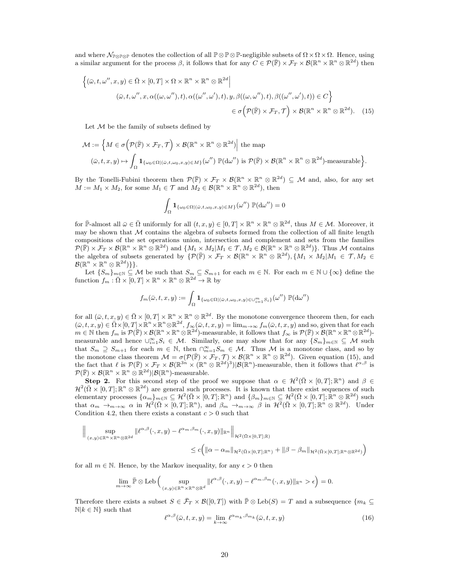and where  $\mathcal{N}_{\mathbb{P} \otimes \mathbb{P} \otimes \mathbb{P}}$  denotes the collection of all  $\mathbb{P} \otimes \mathbb{P} \otimes \mathbb{P}$ -negligible subsets of  $\Omega \times \Omega \times \Omega$ . Hence, using a similar argument for the process  $\beta$ , it follows that for any  $C \in \mathcal{P}(\overline{\mathbb{F}}) \times \mathcal{F}_T \times \mathcal{B}(\mathbb{R}^n \times \mathbb{R}^n \otimes \mathbb{R}^{2d})$  then

$$
\left\{ (\bar{\omega}, t, \omega'', x, y) \in \bar{\Omega} \times [0, T] \times \Omega \times \mathbb{R}^n \times \mathbb{R}^n \otimes \mathbb{R}^{2d} \Big|
$$
  

$$
(\bar{\omega}, t, \omega'', x, \alpha((\omega, \omega''), t), \alpha((\omega'', \omega'), t), y, \beta((\omega, \omega''), t), \beta((\omega'', \omega'), t)) \in C \right\}
$$
  

$$
\in \sigma \left( \mathcal{P}(\bar{\mathbb{F}}) \times \mathcal{F}_T, \mathcal{T} \right) \times \mathcal{B}(\mathbb{R}^n \times \mathbb{R}^n \otimes \mathbb{R}^{2d}). \tag{15}
$$

Let  $M$  be the family of subsets defined by

$$
\mathcal{M} := \left\{ M \in \sigma \left( \mathcal{P}(\overline{\mathbb{F}}) \times \mathcal{F}_T, \mathcal{T} \right) \times \mathcal{B}(\mathbb{R}^n \times \mathbb{R}^n \otimes \mathbb{R}^{2d}) \middle| \text{ the map } \right.
$$
  

$$
(\bar{\omega}, t, x, y) \mapsto \int_{\Omega} \mathbf{1}_{\{\omega_0 \in \Omega | (\bar{\omega}, t, \omega_0, x, y) \in M\}}(\omega'') \mathbb{P}(\mathrm{d}\omega'') \text{ is } \mathcal{P}(\overline{\mathbb{F}}) \times \mathcal{B}(\mathbb{R}^n \times \mathbb{R}^n \otimes \mathbb{R}^{2d})\text{-measurable} \right\}.
$$

By the Tonelli-Fubini theorem then  $\mathcal{P}(\bar{\mathbb{F}}) \times \mathcal{F}_T \times \mathcal{B}(\mathbb{R}^n \times \mathbb{R}^n \otimes \mathbb{R}^{2d}) \subseteq \mathcal{M}$  and, also, for any set  $M := M_1 \times M_2$ , for some  $M_1 \in \mathcal{T}$  and  $M_2 \in \mathcal{B}(\mathbb{R}^n \times \mathbb{R}^n \otimes \mathbb{R}^{2d})$ , then

$$
\int_{\Omega} \mathbf{1}_{\{\omega_0 \in \Omega | (\bar{\omega}, t, \omega_0, x, y) \in M\}}(\omega'') \, \mathbb{P}(\mathrm{d}\omega'') = 0
$$

for  $\bar{\mathbb{P}}$ -almost all  $\bar{\omega} \in \bar{\Omega}$  uniformly for all  $(t, x, y) \in [0, T] \times \mathbb{R}^n \times \mathbb{R}^n \otimes \mathbb{R}^{2d}$ , thus  $M \in \mathcal{M}$ . Moreover, it may be shown that  $M$  contains the algebra of subsets formed from the collection of all finite length compositions of the set operations union, intersection and complement and sets from the families  $\mathcal{P}(\overline{\mathbb{F}}) \times \mathcal{F}_T \times \mathcal{B}(\mathbb{R}^n \times \mathbb{R}^n \otimes \mathbb{R}^{2d})$  and  $\{M_1 \times M_2 | M_1 \in \mathcal{T}, M_2 \in \mathcal{B}(\mathbb{R}^n \times \mathbb{R}^n \otimes \mathbb{R}^{2d})\}$ . Thus M contains the algebra of subsets generated by  $\{P(\bar{\mathbb{F}}) \times \mathcal{F}_T \times \mathcal{B}(\mathbb{R}^n \times \mathbb{R}^n \otimes \mathbb{R}^{2d}), \{M_1 \times M_2 | M_1 \in \mathcal{T}, M_2 \in \mathcal{T}\}$  $\mathcal{B}(\mathbb{R}^n\times\mathbb{R}^n\otimes\mathbb{R}^{2d})\}$ .

Let  $\{S_m\}_{m\in\mathbb{N}}\subseteq\mathcal{M}$  be such that  $S_m\subseteq S_{m+1}$  for each  $m\in\mathbb{N}$ . For each  $m\in\mathbb{N}\cup\{\infty\}$  define the function  $f_m : \overline{\Omega} \times [0, T] \times \mathbb{R}^n \times \mathbb{R}^n \otimes \mathbb{R}^{2d} \to \mathbb{R}$  by

$$
f_m(\bar{\omega},t,x,y):=\int_{\Omega} \mathbf{1}_{\{\omega_0 \in \Omega | (\bar{\omega},t,\omega_0,x,y) \in \cup_{i=1}^m S_i\}}(\omega'') \; \mathbb{P}(\mathrm{d}\omega'')
$$

for all  $(\bar{\omega}, t, x, y) \in \bar{\Omega} \times [0, T] \times \mathbb{R}^n \times \mathbb{R}^n \otimes \mathbb{R}^{2d}$ . By the monotone convergence theorem then, for each  $(\bar{\omega}, t, x, y) \in \bar{\Omega} \times [0, T] \times \mathbb{R}^n \times \mathbb{R}^n \otimes \mathbb{R}^{2d}, f_{\infty}(\bar{\omega}, t, x, y) = \lim_{m \to \infty} f_m(\bar{\omega}, t, x, y)$  and so, given that for each  $m \in \mathbb{N}$  then  $f_m$  is  $\mathcal{P}(\overline{\mathbb{F}}) \times \mathcal{B}(\mathbb{R}^n \times \mathbb{R}^n \otimes \mathbb{R}^{2d})$ -measurable, it follows that  $f_\infty$  is  $\mathcal{P}(\overline{\mathbb{F}}) \times \mathcal{B}(\mathbb{R}^n \times \mathbb{R}^n \otimes \mathbb{R}^{2d})$ measurable and hence  $\bigcup_{i=1}^{\infty} S_i \in \mathcal{M}$ . Similarly, one may show that for any  $\{S_m\}_{m\in\mathbb{N}} \subseteq \mathcal{M}$  such that  $S_m \supseteq S_{m+1}$  for each  $m \in \mathbb{N}$ , then  $\bigcap_{m=1}^{\infty} S_m \in \mathcal{M}$ . Thus M is a monotone class, and so by the monotone class theorem  $\mathcal{M} = \sigma(\mathcal{P}(\overline{\mathbb{F}}) \times \mathcal{F}_T, \mathcal{T}) \times \mathcal{B}(\mathbb{R}^n \times \mathbb{R}^n \otimes \mathbb{R}^{2d})$ . Given equation (15), and the fact that  $\ell$  is  $\mathcal{P}(\overline{\mathbb{F}}) \times \mathcal{F}_T \times \mathcal{B}(\mathbb{R}^{3n} \times (\mathbb{R}^n \otimes \mathbb{R}^{2d})^3)|\mathcal{B}(\mathbb{R}^n)$ -measurable, then it follows that  $\ell^{\alpha,\beta}$  is  $\mathcal{P}(\overline{\mathbb{F}}) \times \mathcal{B}(\mathbb{R}^n \times \mathbb{R}^n \otimes \mathbb{R}^{2d})|\mathcal{B}(\mathbb{R}^n)$ -measurable.

Step 2. For this second step of the proof we suppose that  $\alpha \in \mathcal{H}^2(\bar{\Omega} \times [0,T]; \mathbb{R}^n)$  and  $\beta \in$  $\mathcal{H}^2(\bar{\Omega}\times[0,T];\mathbb{R}^n\otimes\mathbb{R}^{2d})$  are general such processes. It is known that there exist sequences of such elementary processes  $\{\alpha_m\}_{m\in\mathbb{N}} \subseteq \mathcal{H}^2(\bar{\Omega} \times [0,T]; \mathbb{R}^n)$  and  $\{\beta_m\}_{m\in\mathbb{N}} \subseteq \mathcal{H}^2(\bar{\Omega} \times [0,T]; \mathbb{R}^n \otimes \mathbb{R}^{2d})$  such that  $\alpha_m \to_{m \to \infty} \alpha$  in  $\mathcal{H}^2(\bar{\Omega} \times [0,T]; \mathbb{R}^n)$ , and  $\beta_m \to_{m \to \infty} \beta$  in  $\mathcal{H}^2(\bar{\Omega} \times [0,T]; \mathbb{R}^n \otimes \mathbb{R}^{2d})$ . Under Condition 4.2, then there exists a constant  $c > 0$  such that

$$
\| \sup_{(x,y)\in \mathbb{R}^n \times \mathbb{R}^n \otimes \mathbb{R}^{2d}} \| \ell^{\alpha,\beta}(\cdot,x,y) - \ell^{\alpha_m,\beta_m}(\cdot,x,y) \|_{\mathbb{R}^n} \Big\|_{\mathcal{H}^2(\bar{\Omega} \times [0,T];\mathbb{R})}
$$
  

$$
\leq c \Big( \| \alpha - \alpha_m \|_{\mathcal{H}^2(\bar{\Omega} \times [0,T];\mathbb{R}^n)} + \| \beta - \beta_m \|_{\mathcal{H}^2(\bar{\Omega} \times [0,T];\mathbb{R}^n \otimes \mathbb{R}^{2d})} \Big)
$$

for all  $m \in \mathbb{N}$ . Hence, by the Markov inequality, for any  $\epsilon > 0$  then

$$
\lim_{m\to\infty}\bar{\mathbb{P}}\otimes \mathrm{Leb}\left(\sup_{(x,y)\in\mathbb{R}^n\times\mathbb{R}^n\otimes\mathbb{R}^d}\|\ell^{\alpha,\beta}(\cdot,x,y)-\ell^{\alpha_m,\beta_m}(\cdot,x,y)\|_{\mathbb{R}^n}>\epsilon\right)=0.
$$

Therefore there exists a subset  $S \in \bar{\mathcal{F}}_T \times \mathcal{B}([0,T])$  with  $\bar{\mathbb{P}} \otimes \text{Leb}(S) = T$  and a subsequence  $\{m_k \subseteq$  $\mathbb{N}|k \in \mathbb{N}\}$  such that

$$
\ell^{\alpha,\beta}(\bar{\omega},t,x,y) = \lim_{k \to \infty} \ell^{\alpha_{m_k},\beta_{m_k}}(\bar{\omega},t,x,y)
$$
\n(16)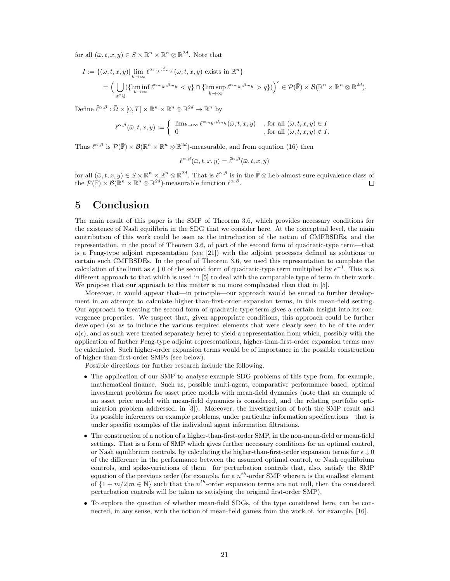for all  $(\bar{\omega}, t, x, y) \in S \times \mathbb{R}^n \times \mathbb{R}^n \otimes \mathbb{R}^{2d}$ . Note that

$$
I := \{ (\bar{\omega}, t, x, y) | \lim_{k \to \infty} \ell^{\alpha_{m_k}, \beta_{m_k}}(\bar{\omega}, t, x, y) \text{ exists in } \mathbb{R}^n \}
$$
  
= 
$$
\Big( \bigcup_{q \in \mathbb{Q}} (\{ \liminf_{k \to \infty} \ell^{\alpha_{m_k}, \beta_{m_k}} < q \} \cap \{ \limsup_{k \to \infty} \ell^{\alpha_{m_k}, \beta_{m_k}} > q \}) \Big)^c \in \mathcal{P}(\bar{\mathbb{F}}) \times \mathcal{B}(\mathbb{R}^n \times \mathbb{R}^n \otimes \mathbb{R}^{2d}).
$$

Define  $\bar{\ell}^{\alpha,\beta} : \bar{\Omega} \times [0,T] \times \mathbb{R}^n \times \mathbb{R}^n \otimes \mathbb{R}^{2d} \to \mathbb{R}^n$  by

$$
\bar{\ell}^{\alpha,\beta}(\bar{\omega},t,x,y) := \begin{cases} \begin{array}{ll} \lim_{k \to \infty} \ell^{\alpha_{m_k},\beta_{m_k}}(\bar{\omega},t,x,y) & , \text{ for all } (\bar{\omega},t,x,y) \in I \\ 0 & , \text{ for all } (\bar{\omega},t,x,y) \notin I. \end{array} \end{cases}
$$

Thus  $\bar{\ell}^{\alpha,\beta}$  is  $\mathcal{P}(\bar{\mathbb{F}}) \times \mathcal{B}(\mathbb{R}^n \times \mathbb{R}^n \otimes \mathbb{R}^{2d})$ -measurable, and from equation (16) then

$$
\ell^{\alpha,\beta}(\bar \omega,t,x,y)=\bar \ell^{\alpha,\beta}(\bar \omega,t,x,y)
$$

for all  $(\bar{\omega}, t, x, y) \in S \times \mathbb{R}^n \times \mathbb{R}^n \otimes \mathbb{R}^{2d}$ . That is  $\ell^{\alpha, \beta}$  is in the  $\bar{\mathbb{P}} \otimes$  Leb-almost sure equivalence class of the  $\mathcal{P}(\mathbb{\bar{F}}) \times \mathcal{B}(\mathbb{R}^n \times \mathbb{R}^n \otimes \mathbb{R}^{2d})$ -measurable function  $\bar{\ell}^{\alpha,\beta}$ .  $\Box$ 

### 5 Conclusion

The main result of this paper is the SMP of Theorem 3.6, which provides necessary conditions for the existence of Nash equilibria in the SDG that we consider here. At the conceptual level, the main contribution of this work could be seen as the introduction of the notion of CMFBSDEs, and the representation, in the proof of Theorem 3.6, of part of the second form of quadratic-type term—that is a Peng-type adjoint representation (see [21]) with the adjoint processes defined as solutions to certain such CMFBSDEs. In the proof of Theorem 3.6, we used this representation to complete the calculation of the limit as  $\epsilon \downarrow 0$  of the second form of quadratic-type term multiplied by  $\epsilon^{-1}$ . This is a different approach to that which is used in [5] to deal with the comparable type of term in their work. We propose that our approach to this matter is no more complicated than that in [5].

Moreover, it would appear that—in principle—our approach would be suited to further development in an attempt to calculate higher-than-first-order expansion terms, in this mean-field setting. Our approach to treating the second form of quadratic-type term gives a certain insight into its convergence properties. We suspect that, given appropriate conditions, this approach could be further developed (so as to include the various required elements that were clearly seen to be of the order  $o(\epsilon)$ , and as such were treated separately here) to yield a representation from which, possibly with the application of further Peng-type adjoint representations, higher-than-first-order expansion terms may be calculated. Such higher-order expansion terms would be of importance in the possible construction of higher-than-first-order SMPs (see below).

Possible directions for further research include the following.

- The application of our SMP to analyse example SDG problems of this type from, for example, mathematical finance. Such as, possible multi-agent, comparative performance based, optimal investment problems for asset price models with mean-field dynamics (note that an example of an asset price model with mean-field dynamics is considered, and the relating portfolio optimization problem addressed, in [3]). Moreover, the investigation of both the SMP result and its possible inferences on example problems, under particular information specifications—that is under specific examples of the individual agent information filtrations.
- The construction of a notion of a higher-than-first-order SMP, in the non-mean-field or mean-field settings. That is a form of SMP which gives further necessary conditions for an optimal control, or Nash equilibrium controls, by calculating the higher-than-first-order expansion terms for  $\epsilon \downarrow 0$ of the difference in the performance between the assumed optimal control, or Nash equilibrium controls, and spike-variations of them—for perturbation controls that, also, satisfy the SMP equation of the previous order (for example, for a  $n^{th}$ -order SMP where n is the smallest element of  $\{1+m/2|m\in\mathbb{N}\}\$  such that the  $n^{th}$ -order expansion terms are not null, then the considered perturbation controls will be taken as satisfying the original first-order SMP).
- To explore the question of whether mean-field SDGs, of the type considered here, can be connected, in any sense, with the notion of mean-field games from the work of, for example, [16].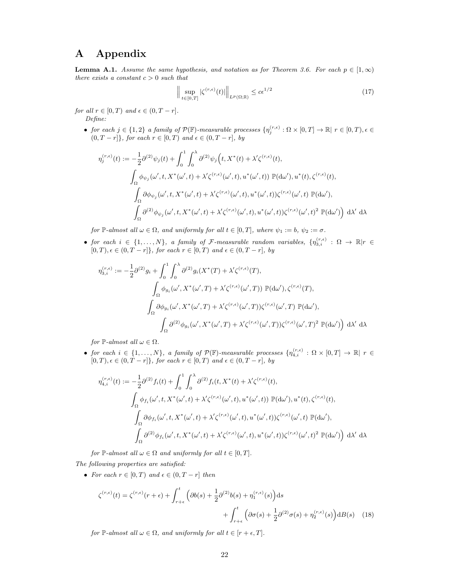# A Appendix

**Lemma A.1.** Assume the same hypothesis, and notation as for Theorem 3.6. For each  $p \in [1,\infty)$ there exists a constant  $c > 0$  such that

$$
\left\| \sup_{t \in [0,T]} |\zeta^{(r,\epsilon)}(t)| \right\|_{L^p(\Omega;\mathbb{R})} \le c\epsilon^{1/2} \tag{17}
$$

for all  $r \in [0, T)$  and  $\epsilon \in (0, T - r]$ . Define:

> • for each  $j \in \{1,2\}$  a family of  $\mathcal{P}(\mathbb{F})$ -measurable processes  $\{\eta_j^{(r,\epsilon)} : \Omega \times [0,T] \to \mathbb{R} \mid r \in [0,T), \epsilon \in$  $(0, T - r]$ , for each  $r \in [0, T)$  and  $\epsilon \in (0, T - r]$ , by

$$
\eta_j^{(r,\epsilon)}(t) := -\frac{1}{2}\partial^{(2)}\psi_j(t) + \int_0^1 \int_0^{\lambda} \partial^{(2)}\psi_j(t, X^*(t) + \lambda' \zeta^{(r,\epsilon)}(t),
$$
  

$$
\int_{\Omega} \phi_{\psi_j}(\omega', t, X^*(\omega', t) + \lambda' \zeta^{(r,\epsilon)}(\omega', t), u^*(\omega', t)) \mathbb{P}(\mathrm{d}\omega'), u^*(t), \zeta^{(r,\epsilon)}(t),
$$
  

$$
\int_{\Omega} \partial \phi_{\psi_j}(\omega', t, X^*(\omega', t) + \lambda' \zeta^{(r,\epsilon)}(\omega', t), u^*(\omega', t)) \zeta^{(r,\epsilon)}(\omega', t) \mathbb{P}(\mathrm{d}\omega'),
$$
  

$$
\int_{\Omega} \partial^{(2)}\phi_{\psi_j}(\omega', t, X^*(\omega', t) + \lambda' \zeta^{(r,\epsilon)}(\omega', t), u^*(\omega', t)) \zeta^{(r,\epsilon)}(\omega', t)^2 \mathbb{P}(\mathrm{d}\omega') d\lambda' d\lambda
$$

for  $\mathbb{P}\text{-almost all }\omega\in\Omega$ , and uniformly for all  $t\in[0,T],$  where  $\psi_1:=b$ ,  $\psi_2:=\sigma$ .

• for each  $i \in \{1,\ldots,N\}$ , a family of F-measurable random variables,  $\{\eta_{3,i}^{(r,\epsilon)} : \Omega \to \mathbb{R} | r \in$  $[0, T), \epsilon \in (0, T - r]$ , for each  $r \in [0, T)$  and  $\epsilon \in (0, T - r]$ , by

$$
\eta_{3,i}^{(r,\epsilon)} := -\frac{1}{2}\partial^{(2)}g_i + \int_0^1 \int_0^{\lambda} \partial^{(2)}g_i(X^*(T) + \lambda'\zeta^{(r,\epsilon)}(T),
$$

$$
\int_{\Omega} \phi_{g_i}(\omega', X^*(\omega', T) + \lambda'\zeta^{(r,\epsilon)}(\omega', T)) \mathbb{P}(\mathrm{d}\omega'), \zeta^{(r,\epsilon)}(T),
$$

$$
\int_{\Omega} \partial \phi_{g_i}(\omega', X^*(\omega', T) + \lambda'\zeta^{(r,\epsilon)}(\omega', T))\zeta^{(r,\epsilon)}(\omega', T) \mathbb{P}(\mathrm{d}\omega'),
$$

$$
\int_{\Omega} \partial^{(2)}\phi_{g_i}(\omega', X^*(\omega', T) + \lambda'\zeta^{(r,\epsilon)}(\omega', T))\zeta^{(r,\epsilon)}(\omega', T)^2 \mathbb{P}(\mathrm{d}\omega') d\lambda' d\lambda
$$

for  $\mathbb{P}\text{-almost all }\omega \in \Omega$ .

• for each  $i \in \{1,\ldots,N\}$ , a family of  $\mathcal{P}(\mathbb{F})$ -measurable processes  $\{\eta_{4,i}^{(r,\epsilon)} : \Omega \times [0,T] \to \mathbb{R} \mid r \in$  $[0, T), \epsilon \in (0, T - r]$ , for each  $r \in [0, T)$  and  $\epsilon \in (0, T - r]$ , by

$$
\eta_{4,i}^{(r,\epsilon)}(t) := -\frac{1}{2}\partial^{(2)}f_i(t) + \int_0^1 \int_0^{\lambda} \partial^{(2)}f_i(t, X^*(t) + \lambda' \zeta^{(r,\epsilon)}(t),
$$
  

$$
\int_{\Omega} \phi_{f_i}(\omega', t, X^*(\omega', t) + \lambda' \zeta^{(r,\epsilon)}(\omega', t), u^*(\omega', t)) \mathbb{P}(\mathrm{d}\omega'), u^*(t), \zeta^{(r,\epsilon)}(t),
$$
  

$$
\int_{\Omega} \partial \phi_{f_i}(\omega', t, X^*(\omega', t) + \lambda' \zeta^{(r,\epsilon)}(\omega', t), u^*(\omega', t)) \zeta^{(r,\epsilon)}(\omega', t) \mathbb{P}(\mathrm{d}\omega'),
$$
  

$$
\int_{\Omega} \partial^{(2)}\phi_{f_i}(\omega', t, X^*(\omega', t) + \lambda' \zeta^{(r,\epsilon)}(\omega', t), u^*(\omega', t)) \zeta^{(r,\epsilon)}(\omega', t)^2 \mathbb{P}(\mathrm{d}\omega') d\lambda'
$$

for  $\mathbb{P}\text{-almost all }\omega \in \Omega$  and uniformly for all  $t \in [0, T]$ .

The following properties are satisfied:

• For each  $r \in [0, T)$  and  $\epsilon \in (0, T - r]$  then

$$
\zeta^{(r,\epsilon)}(t) = \zeta^{(r,\epsilon)}(r+\epsilon) + \int_{r+\epsilon}^t \left( \partial b(s) + \frac{1}{2} \partial^{(2)} b(s) + \eta_1^{(r,\epsilon)}(s) \right) ds
$$

$$
+ \int_{r+\epsilon}^t \left( \partial \sigma(s) + \frac{1}{2} \partial^{(2)} \sigma(s) + \eta_2^{(r,\epsilon)}(s) \right) dB(s) \quad (18)
$$

for  $\mathbb{P}\text{-}almost all  $\omega \in \Omega$ , and uniformly for all  $t \in [r + \epsilon, T]$ .$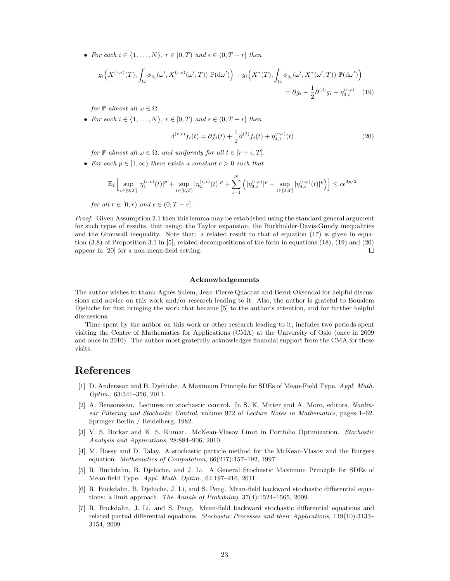• For each  $i \in \{1, \ldots, N\}$ ,  $r \in [0, T)$  and  $\epsilon \in (0, T - r]$  then

$$
g_i\left(X^{(r,\epsilon)}(T), \int_{\Omega} \phi_{g_i}(\omega', X^{(r,\epsilon)}(\omega', T)) \mathbb{P}(\mathrm{d}\omega')\right) - g_i\left(X^*(T), \int_{\Omega} \phi_{g_i}(\omega', X^*(\omega', T)) \mathbb{P}(\mathrm{d}\omega')\right) = \partial g_i + \frac{1}{2} \partial^{(2)} g_i + \eta_{3,i}^{(r,\epsilon)} \tag{19}
$$

for  $\mathbb{P}\text{-almost all }\omega \in \Omega$ .

• For each  $i \in \{1, \ldots, N\}$ ,  $r \in [0, T)$  and  $\epsilon \in (0, T - r]$  then

$$
\delta^{(r,\epsilon)} f_i(t) = \partial f_i(t) + \frac{1}{2} \partial^{(2)} f_i(t) + \eta_{4,i}^{(r,\epsilon)}(t)
$$
\n(20)

for P-almost all  $\omega \in \Omega$ , and uniformly for all  $t \in [r + \epsilon, T]$ .

• For each  $p \in [1,\infty)$  there exists a constant  $c > 0$  such that

$$
\mathbb{E}_{\mathbb{P}}\Big[\sup_{t\in[0,T]}|\eta_1^{(r,\epsilon)}(t)|^p+\sup_{t\in[0,T]}|\eta_2^{(r,\epsilon)}(t)|^p+\sum_{i=1}^N\Big(|\eta_{3,i}^{(r,\epsilon)}|^p+\sup_{t\in[0,T]}|\eta_{4,i}^{(r,\epsilon)}(t)|^p\Big)\Big]\leq c\epsilon^{3p/2}
$$

for all  $r \in [0, r)$  and  $\epsilon \in (0, T - r]$ .

Proof. Given Assumption 2.1 then this lemma may be established using the standard general argument for such types of results, that using: the Taylor expansion, the Burkholder-Davis-Gundy inequalities and the Gronwall inequality. Note that: a related result to that of equation (17) is given in equation (3.8) of Proposition 3.1 in [5]; related decompositions of the form in equations (18), (19) and (20) appear in [20] for a non-mean-field setting.  $\Box$ 

#### Acknowledgements

The author wishes to thank Agnès Sulem, Jean-Pierre Quadrat and Bernt Øksendal for helpful discussions and advice on this work and/or research leading to it. Also, the author is grateful to Boualem Djehiche for first bringing the work that became [5] to the author's attention, and for further helpful discussions.

Time spent by the author on this work or other research leading to it, includes two periods spent visiting the Centre of Mathematics for Applications (CMA) at the University of Oslo (once in 2009 and once in 2010). The author most gratefully acknowledges financial support from the CMA for these visits.

### References

- [1] D. Andersson and B. Djehiche. A Maximum Principle for SDEs of Mean-Field Type. Appl. Math. Optim., 63:341–356, 2011.
- [2] A. Bensoussan. Lectures on stochastic control. In S. K. Mitter and A. Moro, editors, Nonlinear Filtering and Stochastic Control, volume 972 of Lecture Notes in Mathematics, pages 1–62. Springer Berlin / Heidelberg, 1982.
- [3] V. S. Borkar and K. S. Kumar. McKean-Vlasov Limit in Portfolio Optimization. Stochastic Analysis and Applications, 28:884–906, 2010.
- [4] M. Bossy and D. Talay. A stochastic particle method for the McKean-Vlasov and the Burgers equation. Mathematics of Computation, 66(217):157–192, 1997.
- [5] R. Buckdahn, B. Djehiche, and J. Li. A General Stochastic Maximum Principle for SDEs of Mean-field Type. Appl. Math. Optim., 64:197–216, 2011.
- [6] R. Buckdahn, B. Djehiche, J. Li, and S. Peng. Mean-field backward stochastic differential equations: a limit approach. The Annals of Probability, 37(4):1524–1565, 2009.
- [7] R. Buckdahn, J. Li, and S. Peng. Mean-field backward stochastic differential equations and related partial differential equations. Stochastic Processes and their Applications, 119(10):3133– 3154, 2009.